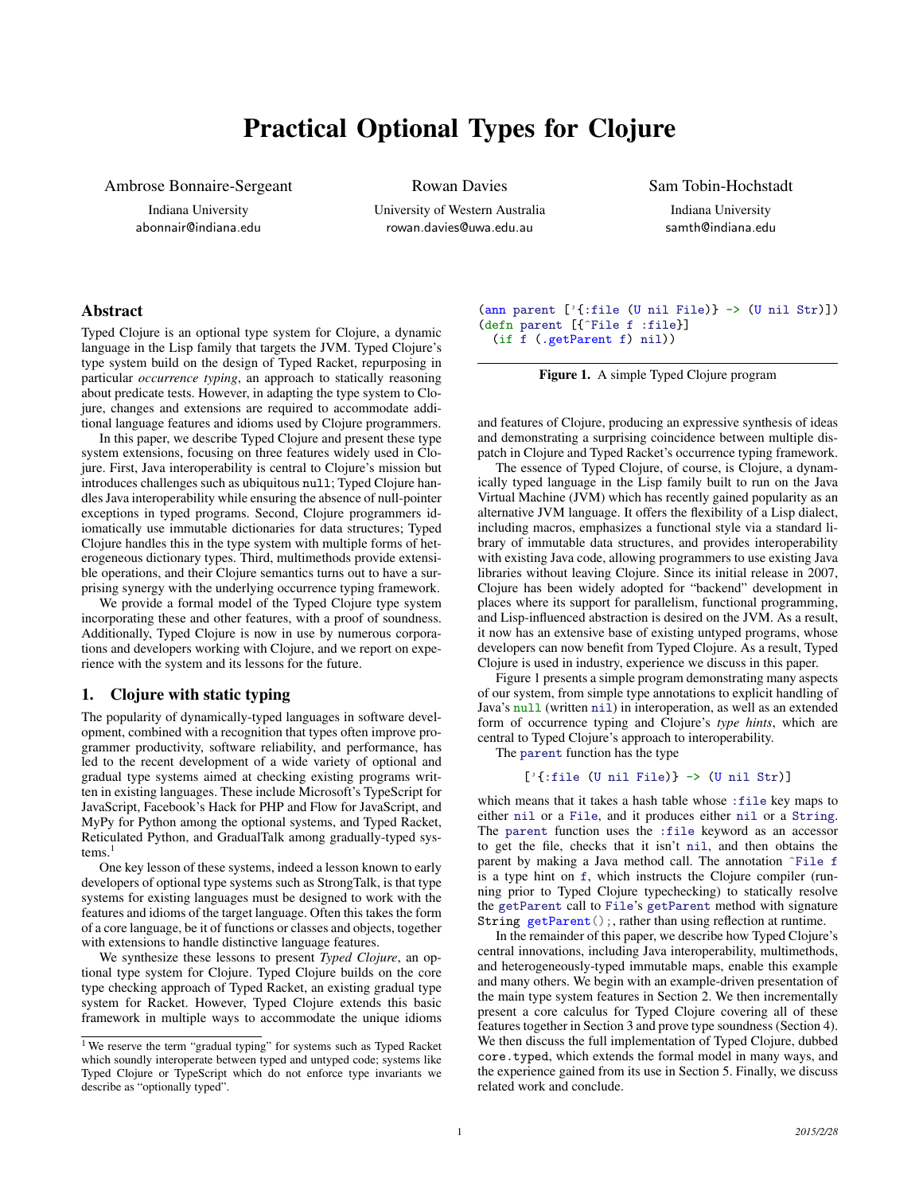# Practical Optional Types for Clojure

Ambrose Bonnaire-Sergeant

Indiana University abonnair@indiana.edu Rowan Davies

University of Western Australia rowan.davies@uwa.edu.au

Sam Tobin-Hochstadt

Indiana University samth@indiana.edu

# Abstract

Typed Clojure is an optional type system for Clojure, a dynamic language in the Lisp family that targets the JVM. Typed Clojure's type system build on the design of Typed Racket, repurposing in particular *occurrence typing*, an approach to statically reasoning about predicate tests. However, in adapting the type system to Clojure, changes and extensions are required to accommodate additional language features and idioms used by Clojure programmers.

In this paper, we describe Typed Clojure and present these type system extensions, focusing on three features widely used in Clojure. First, Java interoperability is central to Clojure's mission but introduces challenges such as ubiquitous null; Typed Clojure handles Java interoperability while ensuring the absence of null-pointer exceptions in typed programs. Second, Clojure programmers idiomatically use immutable dictionaries for data structures; Typed Clojure handles this in the type system with multiple forms of heterogeneous dictionary types. Third, multimethods provide extensible operations, and their Clojure semantics turns out to have a surprising synergy with the underlying occurrence typing framework.

We provide a formal model of the Typed Clojure type system incorporating these and other features, with a proof of soundness. Additionally, Typed Clojure is now in use by numerous corporations and developers working with Clojure, and we report on experience with the system and its lessons for the future.

## 1. Clojure with static typing

The popularity of dynamically-typed languages in software development, combined with a recognition that types often improve programmer productivity, software reliability, and performance, has led to the recent development of a wide variety of optional and gradual type systems aimed at checking existing programs written in existing languages. These include Microsoft's TypeScript for JavaScript, Facebook's Hack for PHP and Flow for JavaScript, and MyPy for Python among the optional systems, and Typed Racket, Reticulated Python, and GradualTalk among gradually-typed sys $tems.<sup>1</sup>$ 

One key lesson of these systems, indeed a lesson known to early developers of optional type systems such as StrongTalk, is that type systems for existing languages must be designed to work with the features and idioms of the target language. Often this takes the form of a core language, be it of functions or classes and objects, together with extensions to handle distinctive language features.

We synthesize these lessons to present *Typed Clojure*, an optional type system for Clojure. Typed Clojure builds on the core type checking approach of Typed Racket, an existing gradual type system for Racket. However, Typed Clojure extends this basic framework in multiple ways to accommodate the unique idioms (ann parent ['{:file (U nil File)} -> (U nil Str)]) (defn parent [{^File f :file}] (if f (.getParent f) nil))

Figure 1. A simple Typed Clojure program

and features of Clojure, producing an expressive synthesis of ideas and demonstrating a surprising coincidence between multiple dispatch in Clojure and Typed Racket's occurrence typing framework.

The essence of Typed Clojure, of course, is Clojure, a dynamically typed language in the Lisp family built to run on the Java Virtual Machine (JVM) which has recently gained popularity as an alternative JVM language. It offers the flexibility of a Lisp dialect, including macros, emphasizes a functional style via a standard library of immutable data structures, and provides interoperability with existing Java code, allowing programmers to use existing Java libraries without leaving Clojure. Since its initial release in 2007, Clojure has been widely adopted for "backend" development in places where its support for parallelism, functional programming, and Lisp-influenced abstraction is desired on the JVM. As a result, it now has an extensive base of existing untyped programs, whose developers can now benefit from Typed Clojure. As a result, Typed Clojure is used in industry, experience we discuss in this paper.

Figure 1 presents a simple program demonstrating many aspects of our system, from simple type annotations to explicit handling of Java's null (written nil) in interoperation, as well as an extended form of occurrence typing and Clojure's *type hints*, which are central to Typed Clojure's approach to interoperability.

The parent function has the type

# $['{\text{file (U nil File)}} \rightarrow (U \text{ nil Str})]$

which means that it takes a hash table whose : file key maps to either nil or a File, and it produces either nil or a String. The parent function uses the :file keyword as an accessor to get the file, checks that it isn't nil, and then obtains the parent by making a Java method call. The annotation ^File f is a type hint on f, which instructs the Clojure compiler (running prior to Typed Clojure typechecking) to statically resolve the getParent call to File's getParent method with signature String getParent();, rather than using reflection at runtime.

In the remainder of this paper, we describe how Typed Clojure's central innovations, including Java interoperability, multimethods, and heterogeneously-typed immutable maps, enable this example and many others. We begin with an example-driven presentation of the main type system features in Section 2. We then incrementally present a core calculus for Typed Clojure covering all of these features together in Section 3 and prove type soundness (Section 4). We then discuss the full implementation of Typed Clojure, dubbed core.typed, which extends the formal model in many ways, and the experience gained from its use in Section 5. Finally, we discuss related work and conclude.

<sup>&</sup>lt;sup>1</sup> We reserve the term "gradual typing" for systems such as Typed Racket which soundly interoperate between typed and untyped code; systems like Typed Clojure or TypeScript which do not enforce type invariants we describe as "optionally typed".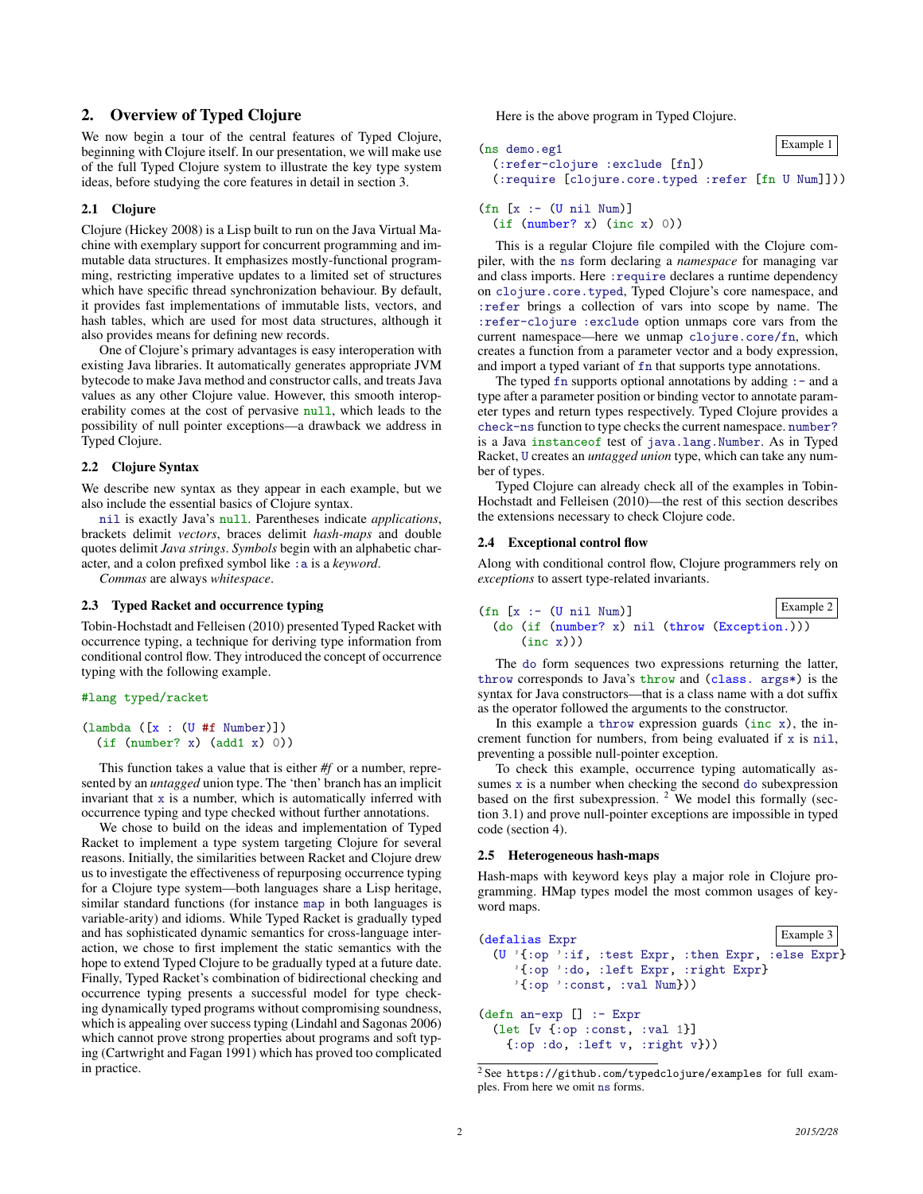# 2. Overview of Typed Clojure

We now begin a tour of the central features of Typed Clojure, beginning with Clojure itself. In our presentation, we will make use of the full Typed Clojure system to illustrate the key type system ideas, before studying the core features in detail in section 3.

#### 2.1 Clojure

Clojure (Hickey 2008) is a Lisp built to run on the Java Virtual Machine with exemplary support for concurrent programming and immutable data structures. It emphasizes mostly-functional programming, restricting imperative updates to a limited set of structures which have specific thread synchronization behaviour. By default, it provides fast implementations of immutable lists, vectors, and hash tables, which are used for most data structures, although it also provides means for defining new records.

One of Clojure's primary advantages is easy interoperation with existing Java libraries. It automatically generates appropriate JVM bytecode to make Java method and constructor calls, and treats Java values as any other Clojure value. However, this smooth interoperability comes at the cost of pervasive null, which leads to the possibility of null pointer exceptions—a drawback we address in Typed Clojure.

#### 2.2 Clojure Syntax

We describe new syntax as they appear in each example, but we also include the essential basics of Clojure syntax.

nil is exactly Java's null. Parentheses indicate *applications*, brackets delimit *vectors*, braces delimit *hash-maps* and double quotes delimit *Java strings*. *Symbols* begin with an alphabetic character, and a colon prefixed symbol like :a is a *keyword*.

*Commas* are always *whitespace*.

#### 2.3 Typed Racket and occurrence typing

Tobin-Hochstadt and Felleisen (2010) presented Typed Racket with occurrence typing, a technique for deriving type information from conditional control flow. They introduced the concept of occurrence typing with the following example.

#### #lang typed/racket

```
(lambda ([x : (U #f Number)])(if (number? x) (add1 x) 0))
```
This function takes a value that is either *#f* or a number, represented by an *untagged* union type. The 'then' branch has an implicit invariant that  $x$  is a number, which is automatically inferred with occurrence typing and type checked without further annotations.

We chose to build on the ideas and implementation of Typed Racket to implement a type system targeting Clojure for several reasons. Initially, the similarities between Racket and Clojure drew us to investigate the effectiveness of repurposing occurrence typing for a Clojure type system—both languages share a Lisp heritage, similar standard functions (for instance map in both languages is variable-arity) and idioms. While Typed Racket is gradually typed and has sophisticated dynamic semantics for cross-language interaction, we chose to first implement the static semantics with the hope to extend Typed Clojure to be gradually typed at a future date. Finally, Typed Racket's combination of bidirectional checking and occurrence typing presents a successful model for type checking dynamically typed programs without compromising soundness, which is appealing over success typing (Lindahl and Sagonas 2006) which cannot prove strong properties about programs and soft typing (Cartwright and Fagan 1991) which has proved too complicated in practice.

Here is the above program in Typed Clojure.

```
Example 1 (ns demo.eg1
 (:refer-clojure :exclude [fn])
 (:require [clojure.core.typed :refer [fn U Num]]))
```

```
(\text{fn} [\text{x} : - (\text{U} \text{nil} \text{Num})])(if (number? x) (inc x) 0))
```
This is a regular Clojure file compiled with the Clojure compiler, with the ns form declaring a *namespace* for managing var and class imports. Here : require declares a runtime dependency on clojure.core.typed, Typed Clojure's core namespace, and :refer brings a collection of vars into scope by name. The :refer-clojure :exclude option unmaps core vars from the current namespace—here we unmap clojure.core/fn, which creates a function from a parameter vector and a body expression, and import a typed variant of fn that supports type annotations.

The typed  $fn$  supports optional annotations by adding  $: -$  and a type after a parameter position or binding vector to annotate parameter types and return types respectively. Typed Clojure provides a check-ns function to type checks the current namespace. number? is a Java instanceof test of java.lang.Number. As in Typed Racket, U creates an *untagged union* type, which can take any number of types.

Typed Clojure can already check all of the examples in Tobin-Hochstadt and Felleisen (2010)—the rest of this section describes the extensions necessary to check Clojure code.

#### 2.4 Exceptional control flow

Along with conditional control flow, Clojure programmers rely on *exceptions* to assert type-related invariants.

```
Example 2 (fn [x :- (U nil Num)]
 (do (if (number? x) nil (throw (Exception.)))
    (inc x))
```
The do form sequences two expressions returning the latter, throw corresponds to Java's throw and (class. args\*) is the syntax for Java constructors—that is a class name with a dot suffix as the operator followed the arguments to the constructor.

In this example a throw expression guards (inc  $x$ ), the increment function for numbers, from being evaluated if x is nil, preventing a possible null-pointer exception.

To check this example, occurrence typing automatically assumes x is a number when checking the second do subexpression based on the first subexpression.  $2$  We model this formally (section 3.1) and prove null-pointer exceptions are impossible in typed code (section 4).

#### 2.5 Heterogeneous hash-maps

Hash-maps with keyword keys play a major role in Clojure programming. HMap types model the most common usages of keyword maps.

```
Example 3 (defalias Expr
  (U '{:op ':if, :test Expr, :then Expr, :else Expr}
    '{:op ':do, :left Expr, :right Expr}
    \{ : \text{op} ':const, :val Num}))
(defn an-exp [] :- Expr
  (let [v {:op :const, :val 1}]
   \{ :op :do, :left v, :right v}))
```
<sup>2</sup> See https://github.com/typedclojure/examples for full examples. From here we omit ns forms.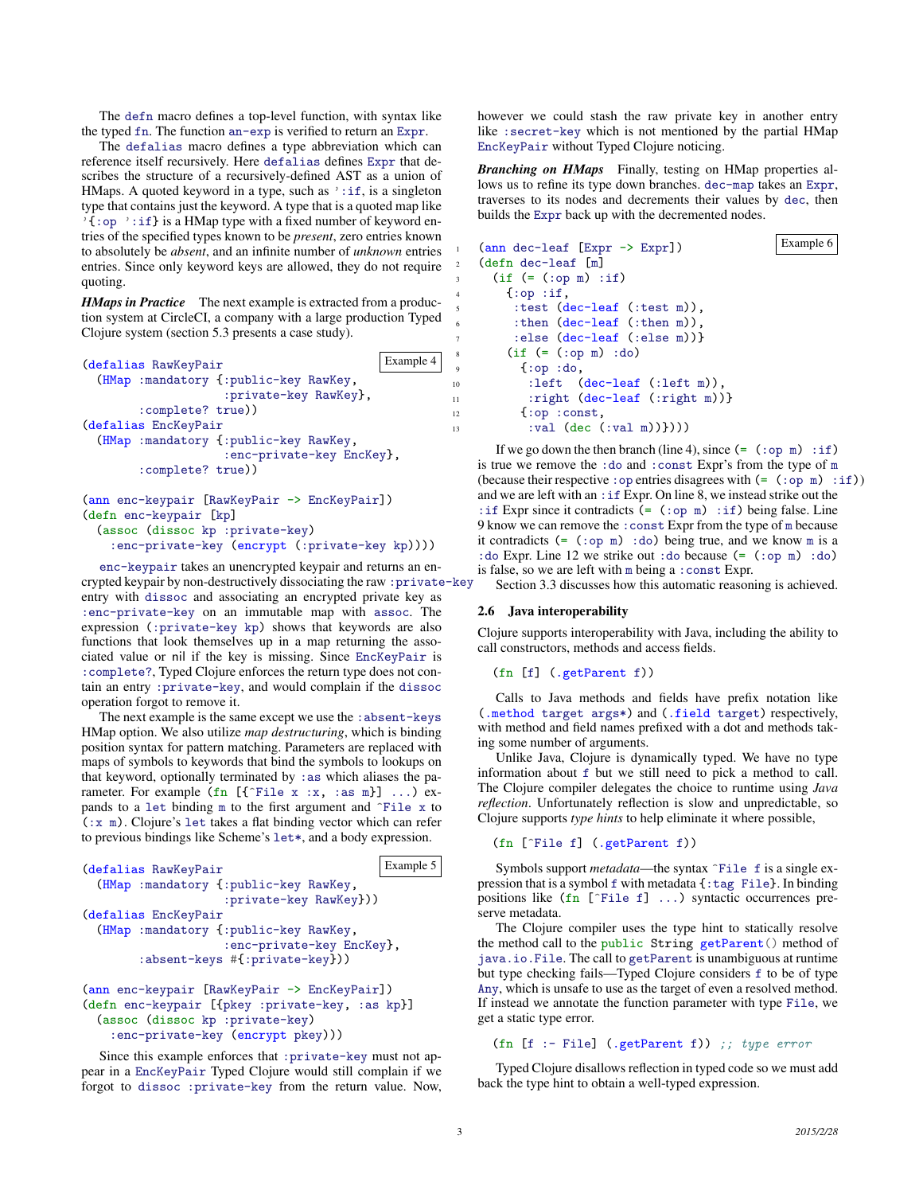The defn macro defines a top-level function, with syntax like the typed fn. The function an-exp is verified to return an Expr.

The defalias macro defines a type abbreviation which can reference itself recursively. Here defalias defines Expr that describes the structure of a recursively-defined AST as a union of HMaps. A quoted keyword in a type, such as  $' : if,$  is a singleton type that contains just the keyword. A type that is a quoted map like '{:op ':if} is a HMap type with a fixed number of keyword entries of the specified types known to be *present*, zero entries known to absolutely be *absent*, and an infinite number of *unknown* entries entries. Since only keyword keys are allowed, they do not require quoting.

*HMaps in Practice* The next example is extracted from a production system at CircleCI, a company with a large production Typed Clojure system (section 5.3 presents a case study).



```
(defn enc-keypair [kp]
 (assoc (dissoc kp :private-key)
```

```
:enc-private-key (encrypt (:private-key kp))))
```
enc-keypair takes an unencrypted keypair and returns an encrypted keypair by non-destructively dissociating the raw :private-key entry with dissoc and associating an encrypted private key as :enc-private-key on an immutable map with assoc. The expression (:private-key kp) shows that keywords are also functions that look themselves up in a map returning the associated value or nil if the key is missing. Since EncKeyPair is :complete?, Typed Clojure enforces the return type does not contain an entry :private-key, and would complain if the dissoc operation forgot to remove it.

The next example is the same except we use the : absent-keys HMap option. We also utilize *map destructuring*, which is binding position syntax for pattern matching. Parameters are replaced with maps of symbols to keywords that bind the symbols to lookups on that keyword, optionally terminated by  $:$  as which aliases the parameter. For example (fn  $[\{\hat{\tau}$ File x :x, :as m}] ...) expands to a let binding  $m$  to the first argument and  $\hat{r}$ ile x to (:x m). Clojure's let takes a flat binding vector which can refer to previous bindings like Scheme's let\*, and a body expression.

```
Example 5 (defalias RawKeyPair
 (HMap :mandatory {:public-key RawKey,
                  :private-key RawKey}))
(defalias EncKeyPair
 (HMap :mandatory {:public-key RawKey,
                  :enc-private-key EncKey},
       :absent-keys #{:private-key}))
(ann enc-keypair [RawKeyPair -> EncKeyPair])
```

```
(defn enc-keypair [{pkey :private-key, :as kp}]
 (assoc (dissoc kp :private-key)
    :enc-private-key (encrypt pkey)))
```
Since this example enforces that :private-key must not appear in a EncKeyPair Typed Clojure would still complain if we forgot to dissoc :private-key from the return value. Now, however we could stash the raw private key in another entry like :secret-key which is not mentioned by the partial HMap EncKeyPair without Typed Clojure noticing.

*Branching on HMaps* Finally, testing on HMap properties allows us to refine its type down branches. dec-map takes an Expr, traverses to its nodes and decrements their values by dec, then builds the Expr back up with the decremented nodes.

```
\text{(ann dec-leaf [Expr \rightarrow Expr])} Example 6
   (defn dec-leaf [m]
     (if (= (op m) :if)\{ :op :if,
        :test (dec-leaf (:test m)),
        :then (dec-leaf (:then m)),
        :else (dec-leaf (:else m))}
       (if (= (op m) : do)9 {:op :do,
10 :left (dec-leaf (:left m)),
11 : right (dec-leaf (:right m))}
12 {:op : const,
13 :val (dec (:val m))})))
```
If we go down the then branch (line 4), since  $(=(\text{top } m) : \text{if})$ is true we remove the :do and :const Expr's from the type of m (because their respective : op entries disagrees with  $(=(:op \text{ m}) :if))$ and we are left with an :if Expr. On line 8, we instead strike out the : if Expr since it contradicts (= (: op m) : if) being false. Line 9 know we can remove the :const Expr from the type of m because it contradicts  $(=(\text{top } m) : do)$  being true, and we know m is a :do Expr. Line 12 we strike out :do because (= (:op m) :do) is false, so we are left with m being a :const Expr.

Section 3.3 discusses how this automatic reasoning is achieved.

## 2.6 Java interoperability

Clojure supports interoperability with Java, including the ability to call constructors, methods and access fields.

```
(fn [f] (.getParent f))
```
Calls to Java methods and fields have prefix notation like (.method target args\*) and (.field target) respectively, with method and field names prefixed with a dot and methods taking some number of arguments.

Unlike Java, Clojure is dynamically typed. We have no type information about f but we still need to pick a method to call. The Clojure compiler delegates the choice to runtime using *Java reflection*. Unfortunately reflection is slow and unpredictable, so Clojure supports *type hints* to help eliminate it where possible,

## (fn [^File f] (.getParent f))

Symbols support *metadata*—the syntax  $\hat{r}$  File f is a single expression that is a symbol f with metadata {:tag File}. In binding positions like (fn [^File f] ...) syntactic occurrences preserve metadata.

The Clojure compiler uses the type hint to statically resolve the method call to the public String getParent() method of java.io.File. The call to getParent is unambiguous at runtime but type checking fails—Typed Clojure considers f to be of type Any, which is unsafe to use as the target of even a resolved method. If instead we annotate the function parameter with type File, we get a static type error.

(fn [f :- File] (.getParent f)) ;; type error

Typed Clojure disallows reflection in typed code so we must add back the type hint to obtain a well-typed expression.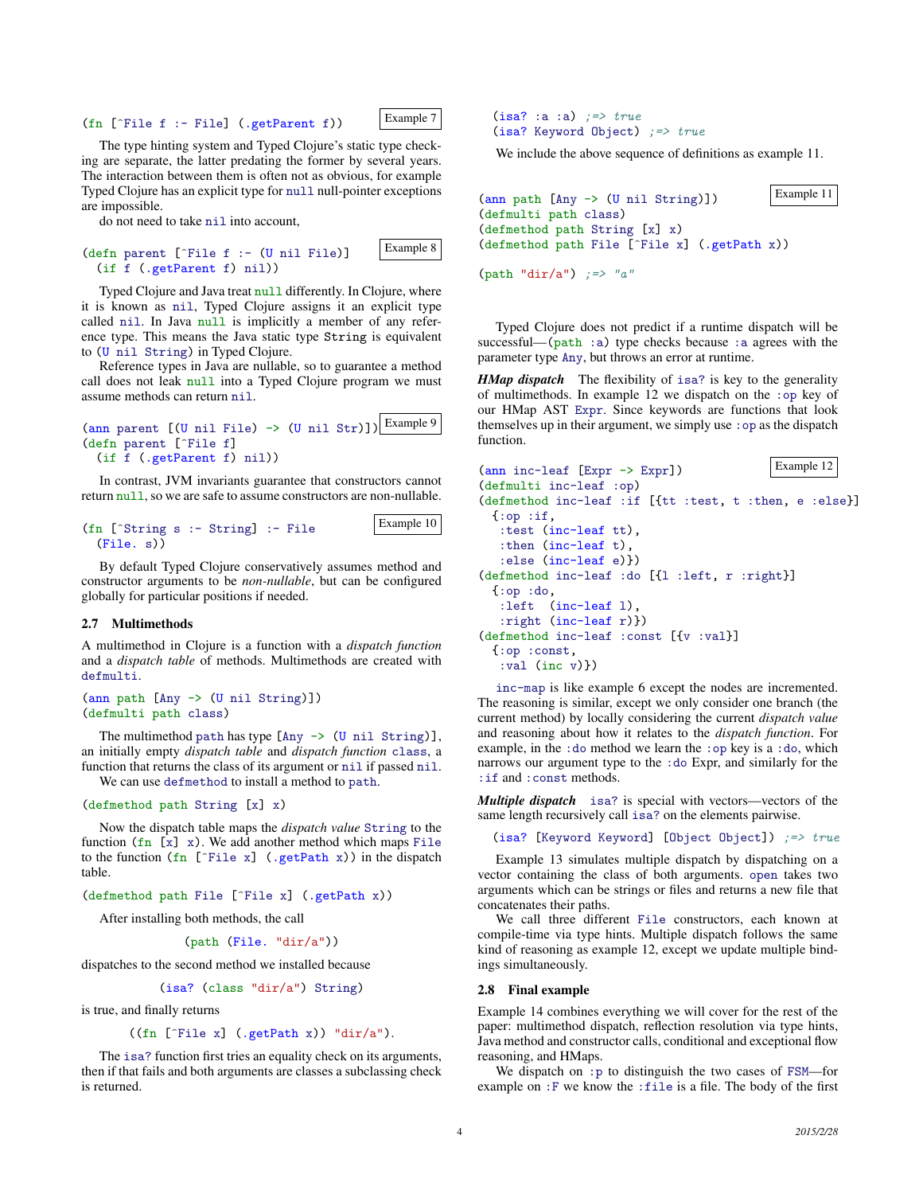$(\text{fn } [\hat{\ }$  File f :- File] (.getParent f)) Example 7

The type hinting system and Typed Clojure's static type checking are separate, the latter predating the former by several years. The interaction between them is often not as obvious, for example Typed Clojure has an explicit type for null null-pointer exceptions are impossible.

do not need to take nil into account,

|                            | (defn parent [^File f :- (U nil File)] | Example 8 |
|----------------------------|----------------------------------------|-----------|
| (if f (.getParent f) nil)) |                                        |           |

Typed Clojure and Java treat null differently. In Clojure, where it is known as nil, Typed Clojure assigns it an explicit type called nil. In Java null is implicitly a member of any reference type. This means the Java static type String is equivalent to (U nil String) in Typed Clojure.

Reference types in Java are nullable, so to guarantee a method call does not leak null into a Typed Clojure program we must assume methods can return nil.

```
\frac{\text{Carn}}{\text{Carn}} parent \frac{\text{C}(\text{U nil File}) \rightarrow \text{(U nil Str)}}{\text{Carn}}(defn parent [^File f]
  (if f (.getParent f) nil))
```
In contrast, JVM invariants guarantee that constructors cannot return null, so we are safe to assume constructors are non-nullable.

Example 10 (fn [^String s :- String] :- File (File. s))

By default Typed Clojure conservatively assumes method and constructor arguments to be *non-nullable*, but can be configured globally for particular positions if needed.

#### 2.7 Multimethods

A multimethod in Clojure is a function with a *dispatch function* and a *dispatch table* of methods. Multimethods are created with defmulti.

```
(ann path [Any -> (U nil String)])
(defmulti path class)
```
The multimethod path has type  $[$ Any  $\rightarrow$  (U nil String)], an initially empty *dispatch table* and *dispatch function* class, a function that returns the class of its argument or nil if passed nil. We can use defmethod to install a method to path.

(defmethod path String [x] x)

Now the dispatch table maps the *dispatch value* String to the function  $(\text{fn} [\text{x}] \text{x})$ . We add another method which maps File to the function  $(\text{fn} [\hat{\text{File x}}] (\text{.getPath x}))$  in the dispatch table.

(defmethod path File [^File x] (.getPath x))

After installing both methods, the call

(path (File. "dir/a"))

dispatches to the second method we installed because

(isa? (class "dir/a") String)

is true, and finally returns

## $((fn [$ File x $]$   $(.getPath x))$  "dir/a").

The isa? function first tries an equality check on its arguments, then if that fails and both arguments are classes a subclassing check is returned.

```
(isa? :a :a) \Rightarrow true(isa? Keyword Object) ;=> true
```
We include the above sequence of definitions as example 11.

```
(\text{ann path } [Any \rightarrow (U \text{ nil String})]) Example 11
(defmulti path class)
(defmethod path String [x] x)
(defmethod path File [^File x] (.getPath x))
```
(path "dir/a")  $:=\n \begin{cases}\n -2x^2 + 3x - 2y + 2z \\
 2x - 3y + 2z\n \end{cases}$ 

Typed Clojure does not predict if a runtime dispatch will be successful—( $path : a$ ) type checks because : a agrees with the parameter type Any, but throws an error at runtime.

*HMap dispatch* The flexibility of isa? is key to the generality of multimethods. In example 12 we dispatch on the :op key of our HMap AST Expr. Since keywords are functions that look themselves up in their argument, we simply use  $:$  op as the dispatch function.

```
\text{(ann inc-leaf [Expr \rightarrow Expr])} Example 12
(defmulti inc-leaf :op)
(defmethod inc-leaf :if [{tt :test, t :then, e :else}]
 {:op :if,
   :test (inc-leaf tt),
  :then (inc-leaf t),
   :else (inc-leaf e)})
(defmethod inc-leaf :do [{l :left, r :right}]
 {:op :do,
   :left (inc-leaf l),
   :right (inc-leaf r)})
(defmethod inc-leaf :const [{v :val}]
 {:op :const,
   :val (inc v)})
```
inc-map is like example 6 except the nodes are incremented. The reasoning is similar, except we only consider one branch (the current method) by locally considering the current *dispatch value* and reasoning about how it relates to the *dispatch function*. For example, in the :do method we learn the :op key is a :do, which narrows our argument type to the :do Expr, and similarly for the :if and :const methods.

*Multiple dispatch* isa? is special with vectors—vectors of the same length recursively call isa? on the elements pairwise.

(isa? [Keyword Keyword] [Object Object]) ;=> true

Example 13 simulates multiple dispatch by dispatching on a vector containing the class of both arguments. open takes two arguments which can be strings or files and returns a new file that concatenates their paths.

We call three different File constructors, each known at compile-time via type hints. Multiple dispatch follows the same kind of reasoning as example 12, except we update multiple bindings simultaneously.

#### 2.8 Final example

Example 14 combines everything we will cover for the rest of the paper: multimethod dispatch, reflection resolution via type hints, Java method and constructor calls, conditional and exceptional flow reasoning, and HMaps.

We dispatch on :p to distinguish the two cases of FSM—for example on :F we know the :file is a file. The body of the first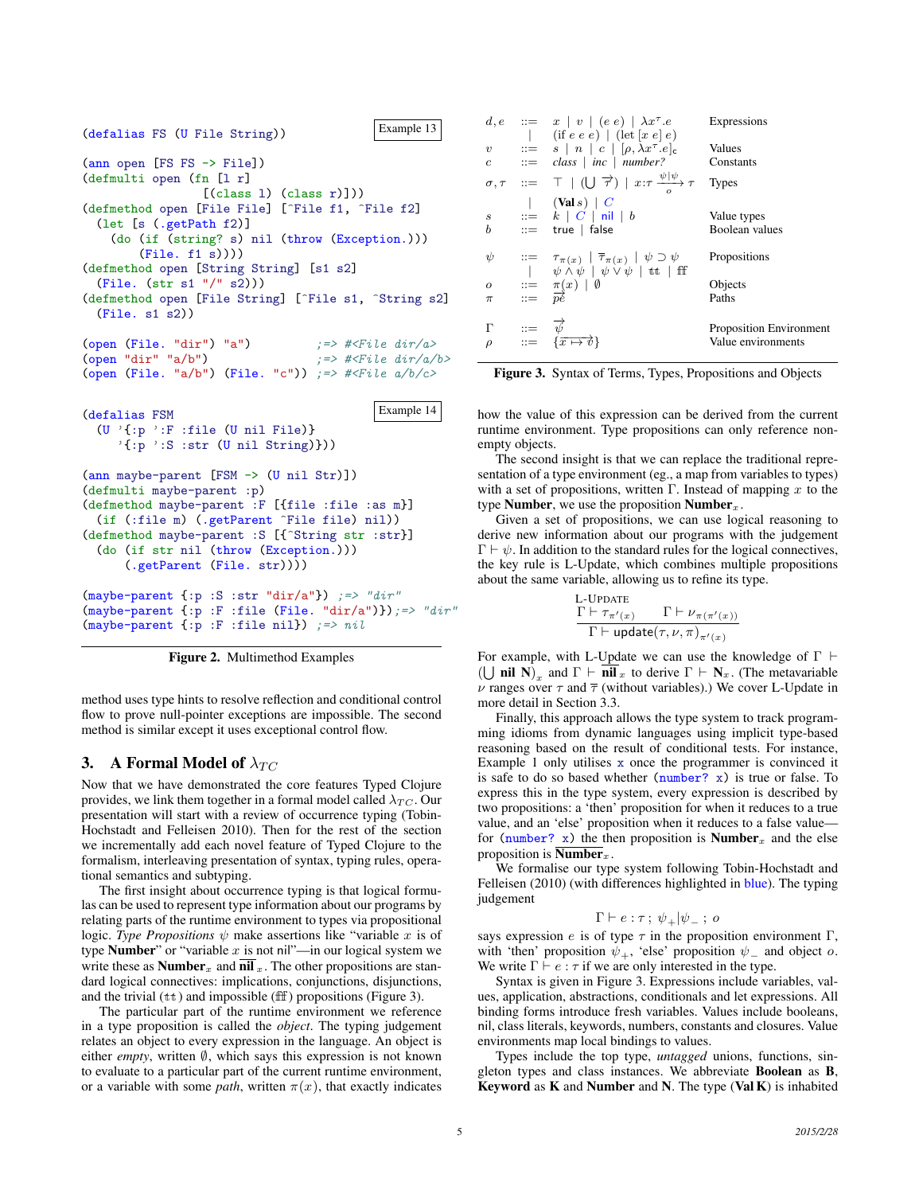

Figure 2. Multimethod Examples

method uses type hints to resolve reflection and conditional control flow to prove null-pointer exceptions are impossible. The second method is similar except it uses exceptional control flow.

# 3. A Formal Model of  $\lambda_{TC}$

Now that we have demonstrated the core features Typed Clojure provides, we link them together in a formal model called  $\lambda_{TC}$ . Our presentation will start with a review of occurrence typing (Tobin-Hochstadt and Felleisen 2010). Then for the rest of the section we incrementally add each novel feature of Typed Clojure to the formalism, interleaving presentation of syntax, typing rules, operational semantics and subtyping.

The first insight about occurrence typing is that logical formulas can be used to represent type information about our programs by relating parts of the runtime environment to types via propositional logic. *Type Propositions*  $\psi$  make assertions like "variable x is of type **Number**" or "variable x is not nil"—in our logical system we write these as **Number**<sub>x</sub> and **nil** <sub>x</sub>. The other propositions are standard logical connectives: implications, conjunctions, disjunctions, and the trivial  $(t<sup>t</sup>)$  and impossible (ff) propositions (Figure 3).

The particular part of the runtime environment we reference in a type proposition is called the *object*. The typing judgement relates an object to every expression in the language. An object is either *empty*, written ∅, which says this expression is not known to evaluate to a particular part of the current runtime environment, or a variable with some *path*, written  $\pi(x)$ , that exactly indicates

|                         | $d,e ::= x \mid v \mid (e \mid e) \mid \lambda x^{\tau}.e$<br>$\left  \right $ (if e e e) $\left  \right $ (let $\left[ x e \right]$ e)                                      | Expressions                                          |
|-------------------------|------------------------------------------------------------------------------------------------------------------------------------------------------------------------------|------------------------------------------------------|
| $\boldsymbol{v}$<br>c   | $\therefore = s \mid n \mid c \mid [\rho, \lambda x^{\tau}.e]_{c}$<br>$ ::= \text{ class }   \text{ inc }   \text{ number?}$                                                 | Values<br>Constants                                  |
|                         | $\sigma, \tau$ ::= $\top$ $ $ $(  \bigcup \overrightarrow{\tau})  $ $x:\tau \xrightarrow{\psi  \psi} \tau$ Types                                                             |                                                      |
| $\boldsymbol{s}$<br>b   | $ \nabla (Vals) C$<br>$\cdots = k \mid C \mid \mathsf{nil} \mid b$<br>$ ::=$ true   false                                                                                    | Value types<br>Boolean values                        |
| ψ                       | $\begin{array}{rcl} ::= & \tau_{\pi(x)}~ ~\overline{\tau}_{\pi(x)}~ ~\psi \supset \psi \\ &  ~~ \psi \wedge \psi ~ ~ \psi \vee \psi ~ ~ \text{tt} ~ ~ \text{ff} \end{array}$ | Propositions                                         |
| $\overline{O}$<br>$\pi$ | $\begin{array}{rcl} ::= & \pi(x) & \emptyset \\ ::= & \overline{pe} \end{array}$                                                                                             | Objects<br>Paths                                     |
| Г<br>$\rho$             | $\begin{array}{rcl} ::= & \overrightarrow{\psi} \\ ::= & {\overrightarrow{x \mapsto \psi}} \end{array}$                                                                      | <b>Proposition Environment</b><br>Value environments |

Figure 3. Syntax of Terms, Types, Propositions and Objects

how the value of this expression can be derived from the current runtime environment. Type propositions can only reference nonempty objects.

The second insight is that we can replace the traditional representation of a type environment (eg., a map from variables to types) with a set of propositions, written Γ. Instead of mapping x to the type Number, we use the proposition Number $<sub>x</sub>$ .</sub>

Given a set of propositions, we can use logical reasoning to derive new information about our programs with the judgement  $\Gamma \vdash \psi$ . In addition to the standard rules for the logical connectives, the key rule is L-Update, which combines multiple propositions about the same variable, allowing us to refine its type.

L-UPDATE  
\n
$$
\frac{\Gamma \vdash \tau_{\pi'(x)}}{\Gamma \vdash \mathsf{update}(\tau, \nu, \pi)_{\pi'(x)}}
$$

For example, with L-Update we can use the knowledge of  $\Gamma \vdash$ ( $\bigcup$  nil N)<sub>x</sub> and  $\Gamma \vdash \overline{\textbf{nil}}_x$  to derive  $\Gamma \vdash \textbf{N}_x$ . (The metavariable  $\nu$  ranges over  $\tau$  and  $\bar{\tau}$  (without variables).) We cover L-Update in more detail in Section 3.3.

Finally, this approach allows the type system to track programming idioms from dynamic languages using implicit type-based reasoning based on the result of conditional tests. For instance, Example 1 only utilises x once the programmer is convinced it is safe to do so based whether (number? x) is true or false. To express this in the type system, every expression is described by two propositions: a 'then' proposition for when it reduces to a true value, and an 'else' proposition when it reduces to a false value for (number? x) the then proposition is **Number**<sub>x</sub> and the else proposition is  $\overline{\text{Number}}_x$ .

We formalise our type system following Tobin-Hochstadt and Felleisen (2010) (with differences highlighted in **blue**). The typing judgement

$$
\Gamma \vdash e : \tau \, ; \ \psi_+|\psi_- \, ; \ o
$$

says expression e is of type  $\tau$  in the proposition environment  $\Gamma$ , with 'then' proposition  $\psi_+$ , 'else' proposition  $\psi_-$  and object o. We write  $\Gamma \vdash e : \tau$  if we are only interested in the type.

Syntax is given in Figure 3. Expressions include variables, values, application, abstractions, conditionals and let expressions. All binding forms introduce fresh variables. Values include booleans, nil, class literals, keywords, numbers, constants and closures. Value environments map local bindings to values.

Types include the top type, *untagged* unions, functions, singleton types and class instances. We abbreviate Boolean as B, Keyword as K and Number and N. The type (Val K) is inhabited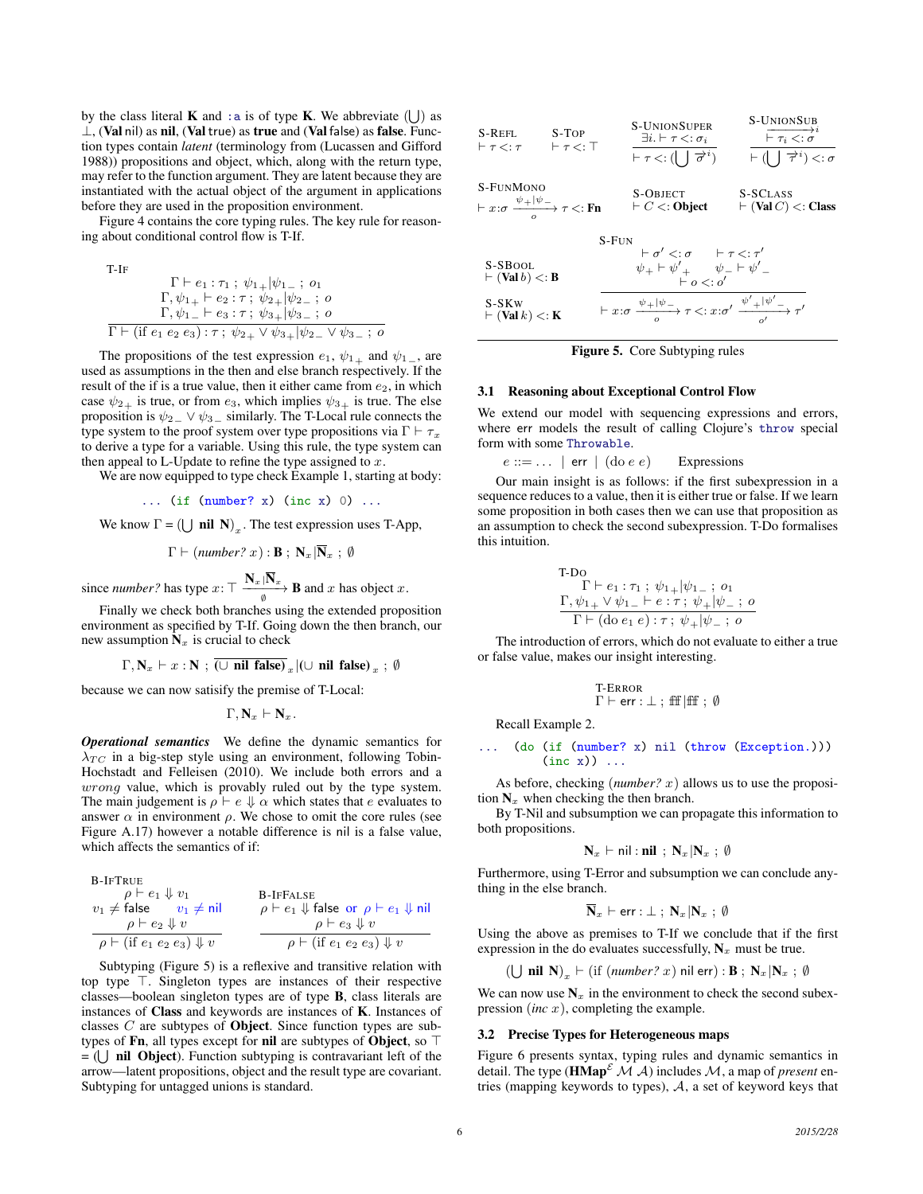by the class literal **K** and : a is of type **K**. We abbreviate  $(\bigcup)$  as  $\perp$ , (Val nil) as nil, (Val true) as true and (Val false) as false. Function types contain *latent* (terminology from (Lucassen and Gifford 1988)) propositions and object, which, along with the return type, may refer to the function argument. They are latent because they are instantiated with the actual object of the argument in applications before they are used in the proposition environment.

Figure 4 contains the core typing rules. The key rule for reasoning about conditional control flow is T-If.

T-IF  
\n
$$
\Gamma \vdash e_1 : \tau_1 ; \psi_{1+} | \psi_{1-} ; o_1
$$
  
\n $\Gamma, \psi_{1+} \vdash e_2 : \tau ; \psi_{2+} | \psi_{2-} ; o$   
\n $\Gamma, \psi_{1-} \vdash e_3 : \tau ; \psi_{3+} | \psi_{3-} ; o$   
\n $\Gamma \vdash (\text{if } e_1 e_2 e_3) : \tau ; \psi_{2+} \lor \psi_{3+} | \psi_{2-} \lor \psi_{3-} ; o$ 

The propositions of the test expression  $e_1$ ,  $\psi_{1+}$  and  $\psi_{1-}$ , are used as assumptions in the then and else branch respectively. If the result of the if is a true value, then it either came from  $e_2$ , in which case  $\psi_{2\perp}$  is true, or from  $e_3$ , which implies  $\psi_{3\perp}$  is true. The else proposition is  $\psi_{2} \vee \psi_{3}$  similarly. The T-Local rule connects the type system to the proof system over type propositions via  $\Gamma \vdash \tau_x$ to derive a type for a variable. Using this rule, the type system can then appeal to L-Update to refine the type assigned to  $x$ .

We are now equipped to type check Example 1, starting at body:

$$
\ldots \quad (\text{if } (\text{number? x}) \ (\text{inc } x) \ 0) \ \ldots
$$

We know  $\Gamma = (\bigcup \textbf{nil } N)_x$ . The test expression uses T-App,

 $\Gamma \vdash (number? \ x) : \mathbf{B}$ ;  $\mathbf{N}_x | \overline{\mathbf{N}}_x$ ; Ø

since *number*? has type  $x: \top \frac{\mathbf{N}_x | \mathbf{N}_x}{\emptyset}$  **B** and x has object x.

Finally we check both branches using the extended proposition environment as specified by T-If. Going down the then branch, our new assumption  $N_x$  is crucial to check

$$
\Gamma, \mathbf{N}_x \vdash x : \mathbf{N} ; \overline{(\cup \text{ nil false})}_x | (\cup \text{ nil false})_x ; \emptyset
$$

because we can now satisify the premise of T-Local:

 $\Gamma, \mathbf{N}_x \vdash \mathbf{N}_x.$ 

*Operational semantics* We define the dynamic semantics for  $\lambda_{TC}$  in a big-step style using an environment, following Tobin-Hochstadt and Felleisen (2010). We include both errors and a wrong value, which is provably ruled out by the type system. The main judgement is  $\rho \vdash e \Downarrow \alpha$  which states that e evaluates to answer  $\alpha$  in environment  $\rho$ . We chose to omit the core rules (see Figure A.17) however a notable difference is nil is a false value, which affects the semantics of if:

B-IFTRUE

$$
v_1 \neq \text{false} \quad v_1 \neq \text{nil} \quad \beta \vdash e_1 \Downarrow v_1
$$
\n
$$
\rho \vdash e_2 \Downarrow v \quad \rho \vdash e_3 \Downarrow v
$$
\n
$$
\rho \vdash (\text{if } e_1 \ e_2 \ e_3) \Downarrow v \quad \rho \vdash (\text{if } e_1 \ e_2 \ e_3) \Downarrow v
$$

Subtyping (Figure 5) is a reflexive and transitive relation with top type  $\top$ . Singleton types are instances of their respective classes—boolean singleton types are of type B, class literals are instances of Class and keywords are instances of K. Instances of classes  $C$  are subtypes of **Object**. Since function types are subtypes of Fn, all types except for nil are subtypes of Object, so  $\top$  $=$  ( $\bigcup$  **nil Object**). Function subtyping is contravariant left of the arrow—latent propositions, object and the result type are covariant. Subtyping for untagged unions is standard.

| $S-REH.$<br>$\vdash \tau \lt: : \tau$                                            | $S-TOP$<br>$\vdash \tau \lt: : \top$ | <b>S-UNIONSUPER</b><br>$\exists i. \vdash \tau \mathrel{<:} \sigma_i$<br>$\vdash \tau \lt: : (\bigcup \overrightarrow{\sigma}^i)$                   | <b>S-UNIONSUB</b><br>$\overrightarrow{r_i \leq \sigma}^i$<br>$\vdash (\mid\;\; \mid \overrightarrow{\tau}^i) <: \sigma$ |
|----------------------------------------------------------------------------------|--------------------------------------|-----------------------------------------------------------------------------------------------------------------------------------------------------|-------------------------------------------------------------------------------------------------------------------------|
| S-FUNMONO<br>$\vdash x:\sigma \xrightarrow{\psi_+ \psi_-} \tau \lt: \mathbf{Fn}$ |                                      | <b>S-OBJECT</b><br>$\vdash C \lt: \text{Object}$                                                                                                    | S-SCLASS<br>$\vdash$ (Val C) $\lt$ : Class                                                                              |
| $S-FUN$                                                                          |                                      |                                                                                                                                                     |                                                                                                                         |
| S-SBOOL<br>$\vdash$ (Val b) $\lt:$ B                                             |                                      | $\begin{array}{ccc} \vdash \sigma' <: \sigma & \vdash \tau <: \tau' \\ \psi_+ \vdash \psi'_+ & \psi_- \vdash \psi'_- \\ \vdash o <: o' \end{array}$ |                                                                                                                         |
| S-SK <sub>w</sub><br>$\vdash$ (Val k) $\lt$ : K                                  |                                      | $\vdash x:\sigma \xrightarrow{\psi_+ \psi_-} \tau \lt: :x:\sigma' \xrightarrow{\psi_+' \psi_-'} \tau'$                                              |                                                                                                                         |

Figure 5. Core Subtyping rules

#### 3.1 Reasoning about Exceptional Control Flow

We extend our model with sequencing expressions and errors, where err models the result of calling Clojure's throw special form with some Throwable.

 $e ::= \dots$  | err | (do e e) Expressions

Our main insight is as follows: if the first subexpression in a sequence reduces to a value, then it is either true or false. If we learn some proposition in both cases then we can use that proposition as an assumption to check the second subexpression. T-Do formalises this intuition.

T-DO  
\n
$$
\Gamma \vdash e_1 : \tau_1 ; \psi_1_+ | \psi_1_-, o_1
$$
\n
$$
\frac{\Gamma, \psi_1_+ \vee \psi_1_- \vdash e : \tau ; \psi_+ | \psi_-, o}{\Gamma \vdash (\text{do } e_1 e) : \tau ; \psi_+ | \psi_-, o}
$$

The introduction of errors, which do not evaluate to either a true or false value, makes our insight interesting.

$$
\begin{array}{l} T\text{-}\text{Error} \\ \Gamma \vdash \texttt{err} : \bot ~;~\text{ff}~\text{|ff}~;~\emptyset \end{array}
$$

Recall Example 2.

$$
\dots \quad (\text{do (if (number? x) nil (throw (Exception.)))}
$$
  
(inc x)) ...

As before, checking (*number?*  $x$ ) allows us to use the proposition  $N_x$  when checking the then branch.

By T-Nil and subsumption we can propagate this information to both propositions.

$$
N_x \vdash \mathsf{nil} : \mathsf{nil} \; ; \; N_x \, | N_x \; ; \; \emptyset
$$

Furthermore, using T-Error and subsumption we can conclude anything in the else branch.

$$
\overline{\mathbf{N}}_x \vdash \textsf{err} : \bot ; \; \mathbf{N}_x \, | \mathbf{N}_x ; \; \emptyset
$$

Using the above as premises to T-If we conclude that if the first expression in the do evaluates successfully,  $N_x$  must be true.

 $(\bigcup$  **nil**  $N$ <sub>x</sub>  $\vdash$  (if (*number*? x) nil err) : **B**;  $N_x | N_x ; \emptyset$ 

We can now use  $N_x$  in the environment to check the second subexpression (*inc* x), completing the example.

#### 3.2 Precise Types for Heterogeneous maps

Figure 6 presents syntax, typing rules and dynamic semantics in detail. The type ( $\mathbf{HMap}^{\mathcal{E}}$   $\mathcal{M}$   $\mathcal{A}$ ) includes  $\mathcal{M}$ , a map of *present* entries (mapping keywords to types), A, a set of keyword keys that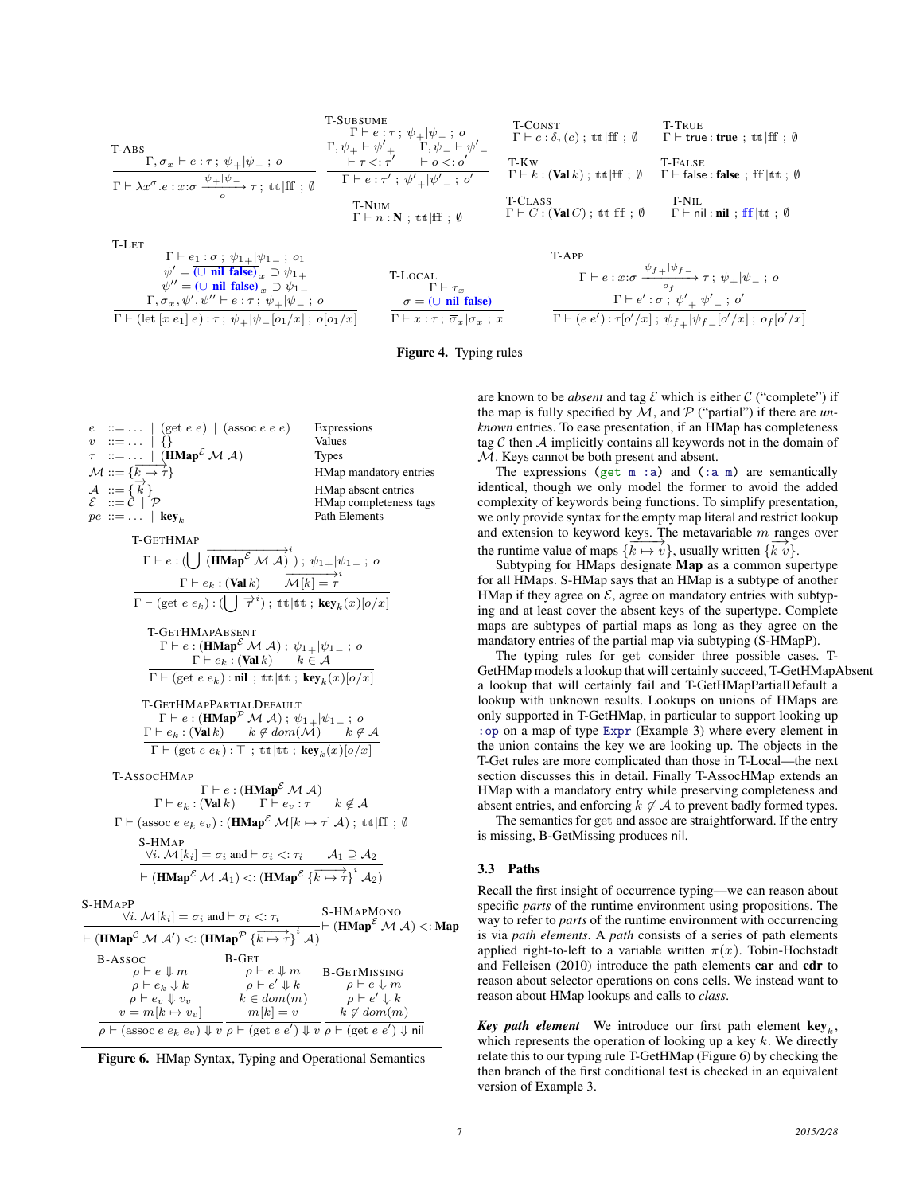| <b>6</b>                                                                                                                                                                                                                                                                                                        |                                                                                                                                                                                                               |                                                                                                                                                                                                                                                                                                                                                                                                                                                                                                                                                                                                                                                                                                                                                                                                                                                                                                                                                                                                                                                                                   |  |
|-----------------------------------------------------------------------------------------------------------------------------------------------------------------------------------------------------------------------------------------------------------------------------------------------------------------|---------------------------------------------------------------------------------------------------------------------------------------------------------------------------------------------------------------|-----------------------------------------------------------------------------------------------------------------------------------------------------------------------------------------------------------------------------------------------------------------------------------------------------------------------------------------------------------------------------------------------------------------------------------------------------------------------------------------------------------------------------------------------------------------------------------------------------------------------------------------------------------------------------------------------------------------------------------------------------------------------------------------------------------------------------------------------------------------------------------------------------------------------------------------------------------------------------------------------------------------------------------------------------------------------------------|--|
| \n $\begin{array}{c}\n\text{T-ABS} \\ \Gamma, \sigma_x \vdash e : \tau; \psi_+   \psi_-, o \\ \hline\n\Gamma, \sigma_x \vdash e : \tau; \psi_+   \psi_-, o \\ \hline\n\Gamma \vdash \lambda x^{\sigma}. e : x : \sigma \xrightarrow{\psi_+   \psi_-, o} \tau; \text{tt}   \text{ff}; \emptyset\n\end{array}$ \n | \n $\begin{array}{c}\n\text{T-SUBSUME} \\ \Gamma \vdash e : \tau; \psi_+   \psi_-, o \\ \hline\n\Gamma \vdash e : \tau; \psi_+   \psi_-, o \\ \hline\n\Gamma \vdash e : \tau' \vdash o <: o'\n\end{array}$ \n | \n $\begin{array}{c}\n\text{T-KW} \\ \text{SUSUM} \\ \hline\n\Gamma \vdash e : \tau; \psi_+   \psi_-, o \\ \hline\n\Gamma \vdash e : \tau' \vdash e <: \sigma' \\ \hline\n\Gamma \vdash e : \tau' \vdash \psi_+   \psi_-, o \\ \hline\n\Gamma \vdash e : \tau' \vdash \psi_+   \psi_-, o \\ \hline\n\Gamma \vdash e : \tau; \psi_+   \psi_-, o \\ \hline\n\Gamma \vdash e : \tau; \psi_+   \psi_-, o \\ \hline\n\Gamma \vdash e : \tau; \psi_+   \psi_-, o \\ \hline\n\Gamma \vdash e : \tau; \psi_+   \psi_-, o \\ \hline\n\Gamma \vdash e : \tau; \psi_+   \psi_-, o \\ \hline\n\Gamma \vdash e : x : \sigma \xrightarrow{\psi_+   \psi_-, o} \Gamma \vdash e : x : \sigma \xrightarrow{\psi_+   \psi_-, o} \Gamma \vdash e : x : \sigma \xrightarrow{\psi_+   \psi_-, o} \Gamma \vdash e : \tau; \psi_+   \psi_-, o \\ \hline\n\Gamma \vdash (\text{let } [x e_1] e) : \tau; \psi_+   \psi_-, o \\ \hline\n\Gamma \vdash (\text{let } [x e_1] e) : \tau; \psi_+   \psi_-, o \\ \hline\n\Gamma \vdash e : \tau; \psi_+   \psi_-, o \\ \hline\n\Gamma \vdash e : \tau; \psi_+  $ |  |

Figure 4. Typing rules

| $e$ ::=   (get $e e$ )   (assoc $e e e$ )                                                                                                                                                                                                                                                                                                                            | Expressions                                   |
|----------------------------------------------------------------------------------------------------------------------------------------------------------------------------------------------------------------------------------------------------------------------------------------------------------------------------------------------------------------------|-----------------------------------------------|
| $v : := \ldots   \{ \}$<br>$\begin{array}{l} \tau ~~::= \ldots ~~ \mid \ (\mathbf{HMap}^{\mathcal{E}} \mathcal{M} \mathcal{A}) \\ \mathcal{M} ::= \{\overline{k} \mapsto \overline{r}\} \\ \mathcal{A} ~~:= \{\overline{k}\} \end{array}$                                                                                                                            | Values<br><b>Types</b>                        |
|                                                                                                                                                                                                                                                                                                                                                                      |                                               |
|                                                                                                                                                                                                                                                                                                                                                                      | HMap mandatory entries                        |
| $\mathcal{E}$ := $\mathcal{C}$   $\mathcal{P}$                                                                                                                                                                                                                                                                                                                       | HMap absent entries<br>HMap completeness tags |
| $pe ::= \dots   \textbf{key}_k$                                                                                                                                                                                                                                                                                                                                      | Path Elements                                 |
| T-GETHMAP                                                                                                                                                                                                                                                                                                                                                            |                                               |
| $\Gamma \vdash e : (\bigcup \overrightarrow{(\mathbf{HMap}^{\mathcal{E}} \mathcal{M} \mathcal{A})}^{i}) \; ; \; \psi_{1+}   \psi_{1-} \; ; \; o \\ \Gamma \vdash e_k : (\mathbf{Val} \, k) \qquad \overrightarrow{\mathcal{M}[k] = \tau}^{i}$                                                                                                                        |                                               |
|                                                                                                                                                                                                                                                                                                                                                                      |                                               |
| $\frac{1 \vdash e_k : (\text{val } \kappa) \qquad \mathcal{M}[\kappa] = \tau}{\Gamma \vdash (\text{get } e \ e_k) : (\bigcup \overrightarrow{\tau}^i) \ ; \ \text{tt} \   \ \text{tt} \ ; \ \text{key}_k(x)[o/x]}$                                                                                                                                                   |                                               |
| T-GETHMAPABSENT<br>$\Gamma \vdash e : (\mathbf{HMap}^{\mathcal{E}} \mathcal{M} \mathcal{A}) ; \psi_{1+} \psi_{1-} ; o$                                                                                                                                                                                                                                               |                                               |
| $\Gamma \vdash e_k : (\textbf{Val } k) \qquad k \in \mathcal{A}$                                                                                                                                                                                                                                                                                                     |                                               |
| $\Gamma \vdash (\text{get } e e_k) : \textbf{nil}$ ; tt  tt; key <sub>k</sub> (x)[o/x]                                                                                                                                                                                                                                                                               |                                               |
| T-GETHMAPPARTIALDEFAULT                                                                                                                                                                                                                                                                                                                                              |                                               |
| $\Gamma \vdash e : (\mathbf{HMap}^{\mathcal{P}} \mathcal{M} \mathcal{A}) ; \psi_{1+}   \psi_{1-} ; o$                                                                                                                                                                                                                                                                |                                               |
| $\Gamma \vdash e_k : (\text{Val } k) \qquad k \notin dom(\mathcal{M}) \qquad k \notin \mathcal{A}$                                                                                                                                                                                                                                                                   |                                               |
| $\Gamma \vdash (\text{get } e e_k) : \top; \text{tt}   \text{tt}, \text{key}_k(x) [o/x]$                                                                                                                                                                                                                                                                             |                                               |
| T-AssocHMap                                                                                                                                                                                                                                                                                                                                                          |                                               |
| $\Gamma \vdash e : (\textbf{HMap}^{\mathcal{E}} \mathcal{M} \mathcal{A})$                                                                                                                                                                                                                                                                                            |                                               |
| $\frac{\Gamma\vdash e_k: (\textbf{Val }k)\qquad \Gamma\vdash e_v: \tau\qquad k\not\in \mathcal{A}}{\Gamma\vdash(\text{assoc }e\ e_k\ e_v):(\textbf{HMap}^{\mathcal{E}}\ \mathcal{M}[k\mapsto \tau]\ \mathcal{A})\ ;\ \text{tt\ if\ f}\ ;\ \emptyset}$                                                                                                                |                                               |
| S-HMAP                                                                                                                                                                                                                                                                                                                                                               |                                               |
| $\forall i. M[k_i] = \sigma_i$ and $\vdash \sigma_i < \tau_i$ $A_1 \supseteq A_2$                                                                                                                                                                                                                                                                                    |                                               |
| $\vdash (\textbf{HMap}^{\mathcal{E}} \mathcal{M} \mathcal{A}_1) \lt: (\textbf{HMap}^{\mathcal{E}} \{\overrightarrow{k \mapsto \tau}\}^i \overrightarrow{\mathcal{A}_2)}$                                                                                                                                                                                             |                                               |
| S-HMAPP<br>$\forall i. \ \mathcal{M}[k_i] = \sigma_i \text{ and } \vdash \sigma_i \leq : \tau_i$<br>$\vdash (\mathbf{HMap}^{\mathcal{C}} \mathcal{M} \mathcal{A}') \leq : (\mathbf{HMap}^{\mathcal{P}} \{\overline{k \mapsto \tau}\}^i \mathcal{A})$<br>$\vdash (\mathbf{HMap}^{\mathcal{C}} \mathcal{M} \mathcal{A}) \leq : \mathbf{Map}^{\mathcal{P}} \mathcal{A}$ |                                               |
|                                                                                                                                                                                                                                                                                                                                                                      |                                               |
| B-GET<br>B-Assoc                                                                                                                                                                                                                                                                                                                                                     |                                               |
| $\left.\begin{array}{lll} \rho\vdash e\Downarrow m & \rho\vdash e\Downarrow m & \text{B-GerMissING} \\ \rho\vdash e_k\Downarrow k & \rho\vdash e'\Downarrow k & \rho\vdash e\Downarrow m \\ \rho\vdash e_v\Downarrow v_v & k\in dom(m) & \rho\vdash e'\Downarrow k \\ =m[k\mapsto v_v] & m[k]=v & k\not\in dom(m) \end{array}\right.$                                |                                               |
|                                                                                                                                                                                                                                                                                                                                                                      |                                               |
| $v = m[k \mapsto v_v]$                                                                                                                                                                                                                                                                                                                                               | $k \notin dom(m)$                             |

 $\rho \vdash (\text{assoc } e \; e_k \; e_v) \Downarrow v \; \overline{\rho \vdash (\text{get } e \; e') \Downarrow v} \; \overline{\rho \vdash (\text{get } e \; e') \Downarrow \mathsf{nil}}$ Figure 6. HMap Syntax, Typing and Operational Semantics

 $S-$ 

are known to be *absent* and tag  $\mathcal E$  which is either  $\mathcal C$  ("complete") if the map is fully specified by  $M$ , and  $P$  ("partial") if there are *unknown* entries. To ease presentation, if an HMap has completeness tag  $C$  then  $A$  implicitly contains all keywords not in the domain of M. Keys cannot be both present and absent.

The expressions (get  $m : a$ ) and (:a  $m$ ) are semantically identical, though we only model the former to avoid the added complexity of keywords being functions. To simplify presentation, we only provide syntax for the empty map literal and restrict lookup and extension to keyword keys. The metavariable  $m$  ranges over the runtime value of maps  $\{\overline{k \mapsto v}\}$ , usually written  $\{\overline{k v}\}$ .

Subtyping for HMaps designate Map as a common supertype for all HMaps. S-HMap says that an HMap is a subtype of another HMap if they agree on  $\mathcal{E}$ , agree on mandatory entries with subtyping and at least cover the absent keys of the supertype. Complete maps are subtypes of partial maps as long as they agree on the mandatory entries of the partial map via subtyping (S-HMapP).

The typing rules for get consider three possible cases. T-GetHMap models a lookup that will certainly succeed, T-GetHMapAbsent a lookup that will certainly fail and T-GetHMapPartialDefault a lookup with unknown results. Lookups on unions of HMaps are only supported in T-GetHMap, in particular to support looking up :op on a map of type Expr (Example 3) where every element in the union contains the key we are looking up. The objects in the T-Get rules are more complicated than those in T-Local—the next section discusses this in detail. Finally T-AssocHMap extends an HMap with a mandatory entry while preserving completeness and absent entries, and enforcing  $k \notin \mathcal{A}$  to prevent badly formed types.

The semantics for get and assoc are straightforward. If the entry is missing, B-GetMissing produces nil.

# 3.3 Paths

Recall the first insight of occurrence typing—we can reason about specific *parts* of the runtime environment using propositions. The way to refer to *parts* of the runtime environment with occurrencing is via *path elements*. A *path* consists of a series of path elements applied right-to-left to a variable written  $\pi(x)$ . Tobin-Hochstadt and Felleisen (2010) introduce the path elements car and cdr to reason about selector operations on cons cells. We instead want to reason about HMap lookups and calls to *class*.

**Key path element** We introduce our first path element  $key_k$ , which represents the operation of looking up a key  $k$ . We directly relate this to our typing rule T-GetHMap (Figure 6) by checking the then branch of the first conditional test is checked in an equivalent version of Example 3.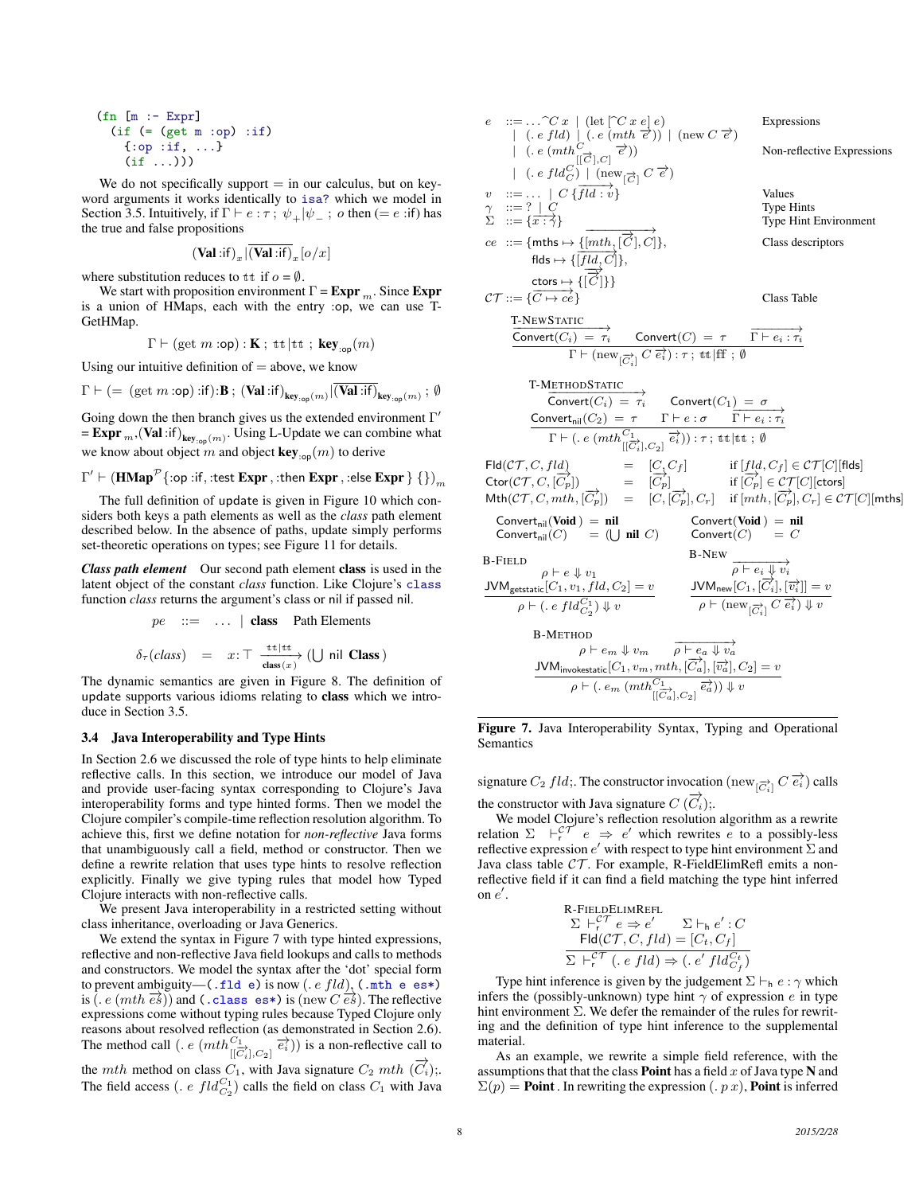(fn [m :- Expr] (if (= (get m :op) :if) {:op :if, ...} (if ...)))

We do not specifically support  $=$  in our calculus, but on keyword arguments it works identically to isa? which we model in Section 3.5. Intuitively, if  $\Gamma \vdash e : \tau$ ;  $\psi_+|\psi_-$ ; o then (= e :if) has the true and false propositions

 $(\text{Val}: \text{if})_{x} |(\text{Val}: \text{if})_{x} [o/x]$ where substitution reduces to tt if  $o = \emptyset$ .

We start with proposition environment  $\Gamma = \text{Expr }_{m}$ . Since Expr is a union of HMaps, each with the entry :op, we can use T-GetHMap.

$$
\Gamma \vdash (\text{get } m : \text{op}) : \mathbf{K} \; ; \; \text{tt}\; \vert \text{tt}\; ; \; \text{key}_{:\text{op}}(m)
$$

Using our intuitive definition of  $=$  above, we know

$$
\Gamma \vdash ( = \ (\text{get } m : \text{op}) : \text{if}) : \mathbf{B} \ ; \ (\mathbf{Val} : \text{if})_{\text{key}_{:\text{op}}(m)} | \overline{(\mathbf{Val} : \text{if})}_{\text{key}_{:\text{op}}(m)} \ ; \ \emptyset
$$

Going down the then branch gives us the extended environment  $\Gamma'$ = **Expr**<sub>m</sub>, (Val :if)<sub>key:op</sub>(m). Using L-Update we can combine what we know about object m and object  $\text{key}_{\text{top}}(m)$  to derive

$$
\Gamma' \vdash (\textbf{HMap}^{\mathcal{P}}\{ \texttt{:op} \texttt{:if}, \texttt{:test}\ \textbf{Expr}\ \texttt{,} \texttt{:then}\ \textbf{Expr}\ \texttt{,} \texttt{:else}\ \textbf{Expr}\ \} \ \{\} )_m
$$

The full definition of update is given in Figure 10 which considers both keys a path elements as well as the *class* path element described below. In the absence of paths, update simply performs set-theoretic operations on types; see Figure 11 for details.

*Class path element* Our second path element class is used in the latent object of the constant *class* function. Like Clojure's class function *class* returns the argument's class or nil if passed nil.

$$
pe ::= \dots | \text{ class } \text{Path Elements}
$$
  
 $\delta_{\tau}(class) = x : \top \xrightarrow{\text{tt} \uplus \text{tt}} (\bigcup \text{nil Class})$ 

The dynamic semantics are given in Figure 8. The definition of update supports various idioms relating to class which we introduce in Section 3.5.

#### 3.4 Java Interoperability and Type Hints

In Section 2.6 we discussed the role of type hints to help eliminate reflective calls. In this section, we introduce our model of Java and provide user-facing syntax corresponding to Clojure's Java interoperability forms and type hinted forms. Then we model the Clojure compiler's compile-time reflection resolution algorithm. To achieve this, first we define notation for *non-reflective* Java forms that unambiguously call a field, method or constructor. Then we define a rewrite relation that uses type hints to resolve reflection explicitly. Finally we give typing rules that model how Typed Clojure interacts with non-reflective calls.

We present Java interoperability in a restricted setting without class inheritance, overloading or Java Generics.

We extend the syntax in Figure 7 with type hinted expressions, reflective and non-reflective Java field lookups and calls to methods and constructors. We model the syntax after the 'dot' special form to prevent ambiguity—(.fld e) is now  $(e \, fld)$ , (.mth e es\*) is (. e  $(mth\overrightarrow{es})$ ) and (.class es\*) is (new  $\overrightarrow{Ces}$ ). The reflective expressions come without typing rules because Typed Clojure only reasons about resolved reflection (as demonstrated in Section 2.6). The method call  $(. e (mth_{[[\overline{C_i}]],C_2]}^{C_1} \overline{e_i^2}))$  is a non-reflective call to the *mth* method on class  $C_1$ , with Java signature  $C_2$  mth  $(\overrightarrow{C_i})$ ; The field access (. *e*  $fld_{C_2}^{C_1}$ ) calls the field on class  $C_1$  with Java

e ::=...
$$
\bigcap C x \mid (\text{let } \bigcap C x e \mid e)
$$
  
\n $\bigcap (e, ftd) \bigcup (e, (mth e^c)) \bigcap (new C e^c) \bigcup (new C e^c) \bigcup (empty C e^c) \bigcup (empty C e^c) \bigcup (empty C e^c) \bigcup (new C e^c) \bigcup (new C e^c) \bigcup (new C e^c) \bigcup (new C e^c) \bigcup (new C e^c) \bigcup (new C e^c) \bigcup (new C e^c) \bigcup (new C e^c) \bigcup (new C e^c) \bigcup (new C e^c) \bigcup (new C e^c) \bigcup (new C e^c) \bigcup (new C e^c) \bigcup (new C e^c) \bigcup (new C e^c) \bigcup (new C e^c) \bigcup (new C e^c) \bigcup (new C e^c) \bigcup (new C e^c) \bigcup (new C e^c) \bigcup (new C e^c) \bigcup (new C e^c) \bigcup (new C e^c) \bigcup (new C e^c) \bigcup (new C e^c) \bigcup (new C e^c) \bigcup (new C e^c) \bigcup (new C e^c) \bigcup (new C e^c) \bigcup (new C e^c) \bigcup (new C e^c) \bigcup (new C e^c) \bigcup (new C e^c) \bigcup (new C e^c) \bigcup (new C e^c) \bigcup (new C e^c) \bigcup (new C e^c) \bigcup (new C e^c) \bigcup (new C e^c) \bigcup (new C e^c) \bigcup (new C e^c) \bigcup (new C e^c) \bigcup (new C e^c) \bigcup (new C e^c) \bigcup (new C e^c) \bigcup (new C e^c) \bigcup (new C e^c) \bigcup (new C e^c) \bigcup (new C e^c) \bigcup (new C e^c) \bigcup (new C e^c) \bigcup (new C e^c) \bigcup (new C e^c) \bigcup (new C e^c) \bigcup (new C e^c) \bigcup (new C e^c) \bigcup (new C e^c) \bigcup (new C e^c) \bigcup (new C e^c) \bigcup (new C e^c) \bigcup (new C e^c) \bigcup (new C e^c) \bigcup (new C e^c) \bigcup (new C e^c) \bigcup (new C e^c) \bigcup (new C e^c$ 

Figure 7. Java Interoperability Syntax, Typing and Operational Semantics

signature  $C_2$   $fld$ ;. The constructor invocation (new  $_{[\overrightarrow{C_i}]}$   $C \overrightarrow{e_i}$ ) calls the constructor with Java signature  $C(\overrightarrow{C_i})$ ;

We model Clojure's reflection resolution algorithm as a rewrite relation  $\Sigma \vdash_r^{c\mathcal{T}} e \Rightarrow e'$  which rewrites e to a possibly-less reflective expression  $e'$  with respect to type hint environment  $\Sigma$  and Java class table  $CT$ . For example, R-FieldElimRefl emits a nonreflective field if it can find a field matching the type hint inferred on  $e'$ .

R-FIELIDELIMREFL  
\n
$$
\Sigma \vdash_r^{CT} e \Rightarrow e' \qquad \Sigma \vdash_h e': C
$$
\n
$$
\text{Fld}(\mathcal{CT}, C, fld) = [C_t, C_f]
$$
\n
$$
\Sigma \vdash_r^{CT} (.e fld) \Rightarrow (.e' fld_{C_f}^{CT})
$$

Type hint inference is given by the judgement  $\Sigma \vdash_h e : \gamma$  which infers the (possibly-unknown) type hint  $\gamma$  of expression e in type hint environment Σ. We defer the remainder of the rules for rewriting and the definition of type hint inference to the supplemental material.

As an example, we rewrite a simple field reference, with the assumptions that that the class **Point** has a field x of Java type  $N$  and  $\Sigma(p)$  = **Point**. In rewriting the expression (. p x), **Point** is inferred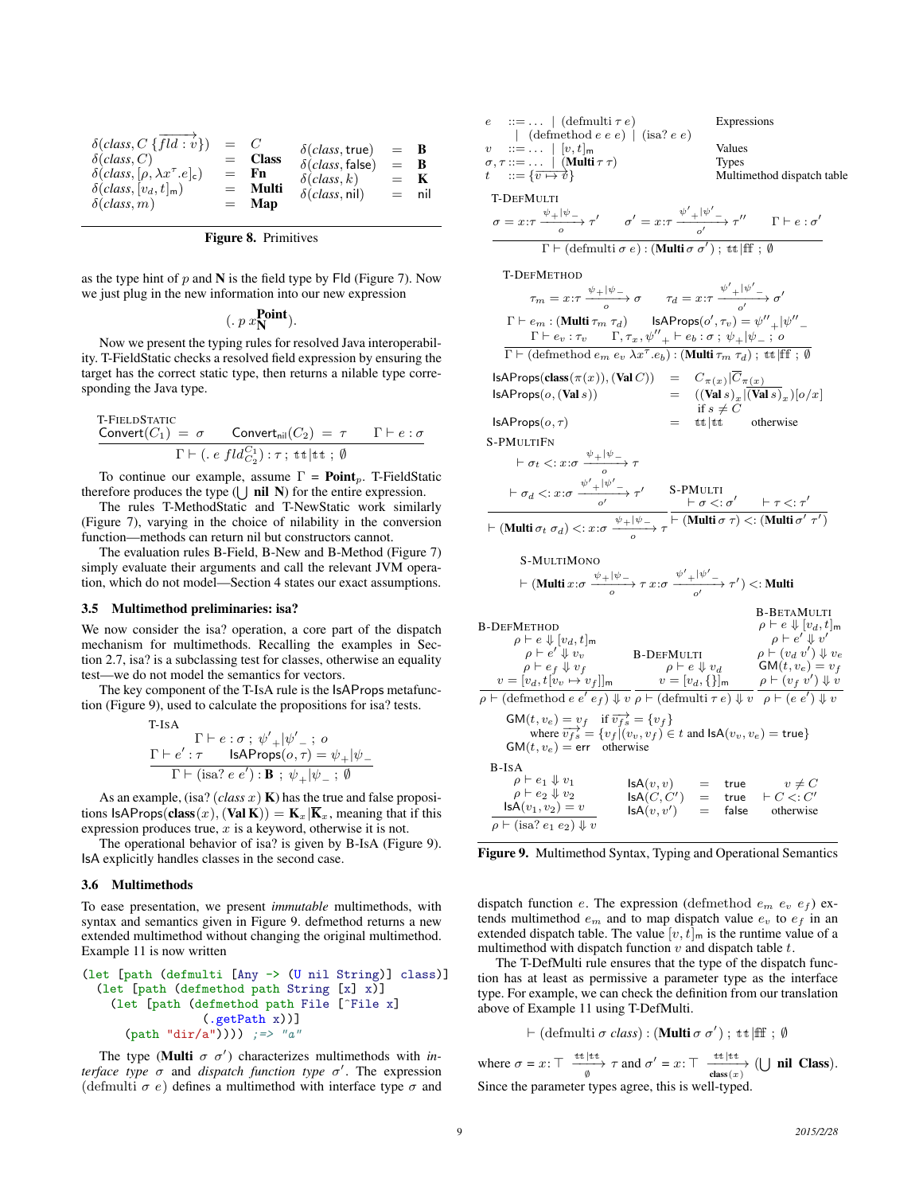| $\delta (class, C \overrightarrow{fld : v})$<br>$\delta$ (class, C)<br>$\delta(class, [\rho, \lambda x^\tau . e]_{c})$<br>$\delta(class, [v_d, t]_{m})$<br>$\delta$ (class, m) | $=$ $C$ | $=$ Class<br>$=$ Fn<br>$=$ Multi<br>$=$ Map | $\delta (class, true)$<br>$\delta (class, false)$<br>$\delta$ (class, k)<br>$\delta(class, nil)$ | $=$ B<br>$=$ R<br>$=$ K | $=$ nil |
|--------------------------------------------------------------------------------------------------------------------------------------------------------------------------------|---------|---------------------------------------------|--------------------------------------------------------------------------------------------------|-------------------------|---------|
|--------------------------------------------------------------------------------------------------------------------------------------------------------------------------------|---------|---------------------------------------------|--------------------------------------------------------------------------------------------------|-------------------------|---------|

|  | <b>Figure 8.</b> Primitives |
|--|-----------------------------|
|--|-----------------------------|

as the type hint of  $p$  and  $N$  is the field type by Fld (Figure 7). Now we just plug in the new information into our new expression

$$
(. p x_{\mathbf{N}}^{\mathbf{Point}}).
$$

Now we present the typing rules for resolved Java interoperability. T-FieldStatic checks a resolved field expression by ensuring the target has the correct static type, then returns a nilable type corresponding the Java type.

T-FIELDSTATE  
Convert(
$$
C_1
$$
) =  $\sigma$  Convert<sub>nil</sub>( $C_2$ ) =  $\tau$   $\Gamma \vdash e : \sigma$   
 $\Gamma \vdash (.e \ fld_{C_2}^{C_1}) : \tau \ ; \ \text{tt} \ | \text{tt} \ ; \ \emptyset$ 

To continue our example, assume  $\Gamma = \text{Point}_p$ . T-FieldStatic therefore produces the type  $(\bigcup$  nil N) for the entire expression.

The rules T-MethodStatic and T-NewStatic work similarly (Figure 7), varying in the choice of nilability in the conversion function—methods can return nil but constructors cannot.

The evaluation rules B-Field, B-New and B-Method (Figure 7) simply evaluate their arguments and call the relevant JVM operation, which do not model—Section 4 states our exact assumptions.

#### 3.5 Multimethod preliminaries: isa?

We now consider the isa? operation, a core part of the dispatch mechanism for multimethods. Recalling the examples in Section 2.7, isa? is a subclassing test for classes, otherwise an equality test—we do not model the semantics for vectors.

The key component of the T-IsA rule is the IsAProps metafunction (Figure 9), used to calculate the propositions for isa? tests.

T-ISA

$$
\frac{\Gamma \vdash e : \sigma \; ; \; \psi_{+}'|\psi_{-}' \; ; \; o}{\Gamma \vdash e' : \tau \quad \text{IsAProps}(o, \tau) = \psi_{+}|\psi_{-}}}{\Gamma \vdash (\text{isa? } e \; e') : \mathbf{B} \; ; \; \psi_{+}|\psi_{-} \; ; \; \emptyset}
$$

As an example, (isa?  $class x$ ) **K**) has the true and false propositions  $IsAProps(class(x), (Val K)) = K_x|\overline{K}_x$ , meaning that if this expression produces true,  $x$  is a keyword, otherwise it is not.

The operational behavior of isa? is given by B-IsA (Figure 9). IsA explicitly handles classes in the second case.

#### 3.6 Multimethods

To ease presentation, we present *immutable* multimethods, with syntax and semantics given in Figure 9. defmethod returns a new extended multimethod without changing the original multimethod. Example 11 is now written

(let [path (defmulti [Any -> (U nil String)] class)] (let [path (defmethod path String [x] x)] (let [path (defmethod path File [^File x] (.getPath x))] (path "dir/a")))) ;=> "a"

The type (Multi  $\sigma \sigma'$ ) characterizes multimethods with *interface type*  $\sigma$  and *dispatch function type*  $\sigma'$ . The expression (defmulti  $\sigma$  e) defines a multimethod with interface type  $\sigma$  and

| $ ::= \dots   (\text{defmulti } \tau e)$<br>$\epsilon$                                                   | Expressions                                                                                                                                                                                                                                                                                                                                                                       |
|----------------------------------------------------------------------------------------------------------|-----------------------------------------------------------------------------------------------------------------------------------------------------------------------------------------------------------------------------------------------------------------------------------------------------------------------------------------------------------------------------------|
| $\vert$ (defmethod e e e) $\vert$ (isa? e e)                                                             | Values                                                                                                                                                                                                                                                                                                                                                                            |
| $ ::= \ldots   [v, t]_{m}$<br>$\boldsymbol{v}$<br>$\sigma, \tau ::= \ldots ~ ~ (\text{Multi}~\tau~\tau)$ | <b>Types</b>                                                                                                                                                                                                                                                                                                                                                                      |
| $t = \{\overline{v \mapsto v}\}$                                                                         | Multimethod dispatch table                                                                                                                                                                                                                                                                                                                                                        |
|                                                                                                          |                                                                                                                                                                                                                                                                                                                                                                                   |
| <b>T-DEFMULTI</b>                                                                                        |                                                                                                                                                                                                                                                                                                                                                                                   |
|                                                                                                          | $\sigma = x : \tau \xrightarrow{\psi +  \psi -} \tau' \qquad \sigma' = x : \tau \xrightarrow{\psi' +  \psi' -} \tau'' \qquad \Gamma \vdash e : \sigma'$                                                                                                                                                                                                                           |
|                                                                                                          | $\Gamma \vdash (\text{defmulti } \sigma e) : (\overline{\text{Multi } \sigma \sigma'}) ; \text{tt }   \text{ff } ; \emptyset$                                                                                                                                                                                                                                                     |
| <b>T-DEFMETHOD</b>                                                                                       |                                                                                                                                                                                                                                                                                                                                                                                   |
|                                                                                                          | $\tau_m = x \colon \tau \xrightarrow[0]{\psi +  \psi  \to 0} \sigma$ $\tau_d = x \colon \tau \xrightarrow[0]{\psi' +  \psi'  \to 0} \sigma'$                                                                                                                                                                                                                                      |
|                                                                                                          | $\Gamma \vdash e_m : (\text{Multi } \tau_m \tau_d) \qquad \text{IsAProps}(o', \tau_v) = \psi''_{+}  \psi''_{-}$                                                                                                                                                                                                                                                                   |
|                                                                                                          | $\Gamma \vdash e_v : \tau_v \qquad \Gamma, \tau_x, {\psi''}_+ \vdash e_b : \sigma \; ; \; \psi_+   \psi_- \; ; \; o$                                                                                                                                                                                                                                                              |
|                                                                                                          | $\Gamma \vdash (\text{defmethod } e_m \ e_v \ \lambda x^{\tau} \cdot e_b) : (\text{Multi } \tau_m \ \tau_d) \ ; \ \text{tt} \   \text{ff } ; \ \emptyset$                                                                                                                                                                                                                         |
| $\mathsf{IsAProps}(\mathbf{class}(\pi(x)),(\mathbf{Val}\, C))$                                           |                                                                                                                                                                                                                                                                                                                                                                                   |
| IsAProps(o, (Vals))                                                                                      | = $C_{\pi(x)} \overline{C}_{\pi(x)}$<br>= $((\text{Val } s)_x (\text{Val } s)_x)(o/x)$<br>if $\overline{C}_{\pi(x)}$                                                                                                                                                                                                                                                              |
| $IsAProps(o, \tau)$                                                                                      | if $s \neq C$<br>$=$ tt  tt otherwise                                                                                                                                                                                                                                                                                                                                             |
|                                                                                                          |                                                                                                                                                                                                                                                                                                                                                                                   |
| S-PMULTIFN                                                                                               |                                                                                                                                                                                                                                                                                                                                                                                   |
| $\vdash \sigma_t \mathrel{<:} x \mathpunct{:}\sigma \xrightarrow{\psi_+ \psi_-} \tau$                    |                                                                                                                                                                                                                                                                                                                                                                                   |
|                                                                                                          | $\frac{\vdash \sigma_d <: x \colon \sigma \xrightarrow{\psi'+\vert \psi' \xrightarrow{\ } \tau'} \quad \text{S-PMULTI}}{\vdash \sigma <: \sigma' \quad \vdash \tau <: \tau' \xrightarrow{\qquad \qquad } \vdash \sigma <: \sigma' \quad \vdash \tau <: \tau' \xrightarrow{\qquad \qquad } \vdash (\text{Multi } \sigma \tau) <: (\text{Multi } \sigma' \tau')$                    |
|                                                                                                          |                                                                                                                                                                                                                                                                                                                                                                                   |
| S-MULTIMONO                                                                                              |                                                                                                                                                                                                                                                                                                                                                                                   |
|                                                                                                          | $\vdash$ (Multi $x:\sigma \xrightarrow{\psi +  \psi -} \tau x:\sigma \xrightarrow{\psi' +  \psi' -} \tau' )$ <: Multi                                                                                                                                                                                                                                                             |
|                                                                                                          | <b>B-BETAMULTI</b>                                                                                                                                                                                                                                                                                                                                                                |
| B-DefMethod                                                                                              | $\rho \vdash e \Downarrow [v_d, t]$ m                                                                                                                                                                                                                                                                                                                                             |
| $\rho \vdash e \Downarrow  v_d, t $ m                                                                    | $\rho \vdash e' \Downarrow v'$                                                                                                                                                                                                                                                                                                                                                    |
|                                                                                                          | $\rho \vdash (v_d \ v') \Downarrow v_e$                                                                                                                                                                                                                                                                                                                                           |
|                                                                                                          |                                                                                                                                                                                                                                                                                                                                                                                   |
|                                                                                                          | $\begin{array}{lll} \rho & \rightarrow e' \Downarrow v_v \\ \rho & \rightarrow e' \Downarrow v_v \\ \rho & \rightarrow e' \Downarrow v_f \\ \hline v = [v_d, t[v_v \rightarrow v_f]]_m & \nu = [v_d, \{\}]_m \\ \hline \rho \vdash (\text{defmethod } e \text{ } e' \text{ } e_f) \Downarrow v \rho \vdash (\text{defmulti } \tau \text{ } e) \Downarrow v \\ \hline \end{array}$ |
|                                                                                                          |                                                                                                                                                                                                                                                                                                                                                                                   |
|                                                                                                          | GM( <i>t</i> , $v_e$ ) = $v_f$ if $\overline{v_{fs}}$ = { $v_f$ }<br>where $\overline{v_{fs}}$ = { $v_f$ }( $(v_v, v_f) \in t$ and $\text{lsA}(v_v, v_e) = \text{true}$ }                                                                                                                                                                                                         |
| $GM(t, v_e) = err$ otherwise                                                                             |                                                                                                                                                                                                                                                                                                                                                                                   |
| B-IsA                                                                                                    |                                                                                                                                                                                                                                                                                                                                                                                   |
| $\rho \vdash e_1 \Downarrow v_1$                                                                         |                                                                                                                                                                                                                                                                                                                                                                                   |
| $\rho \vdash e_2 \Downarrow v_2$                                                                         | $\begin{array}{rclcl} \mathsf{IsA}(v,v) & = & \mathsf{true} & v \neq C \\ \mathsf{IsA}(C,C') & = & \mathsf{true} & \vdash C <: C' \\ \mathsf{IsA}(v,v') & = & \mathsf{false} & \mathsf{otherwise} \end{array}$                                                                                                                                                                    |
| $\mathsf{lsA}(v_1, v_2) = v$                                                                             |                                                                                                                                                                                                                                                                                                                                                                                   |
| $\rho \vdash (\text{isa? } e_1 \ e_2) \Downarrow v$                                                      |                                                                                                                                                                                                                                                                                                                                                                                   |

Figure 9. Multimethod Syntax, Typing and Operational Semantics

dispatch function e. The expression (defmethod  $e_m$   $e_v$   $e_f$ ) extends multimethod  $e_m$  and to map dispatch value  $e_v$  to  $e_f$  in an extended dispatch table. The value  $[v, t]_{m}$  is the runtime value of a multimethod with dispatch function  $v$  and dispatch table  $t$ .

The T-DefMulti rule ensures that the type of the dispatch function has at least as permissive a parameter type as the interface type. For example, we can check the definition from our translation above of Example 11 using T-DefMulti.

$$
\vdash (\text{defmulti } \sigma \text{ class}) : (\text{Multi } \sigma \sigma') ; \ \text{tt} \ | \text{fft } ; \ \emptyset
$$

where  $\sigma = x$ :  $\top \xrightarrow[\sigma]{\text{tt}} \tau$  and  $\sigma' = x$ :  $\top \xrightarrow[\text{class}(x)]$  (U nil Class). Since the parameter types agree, this is well-typed.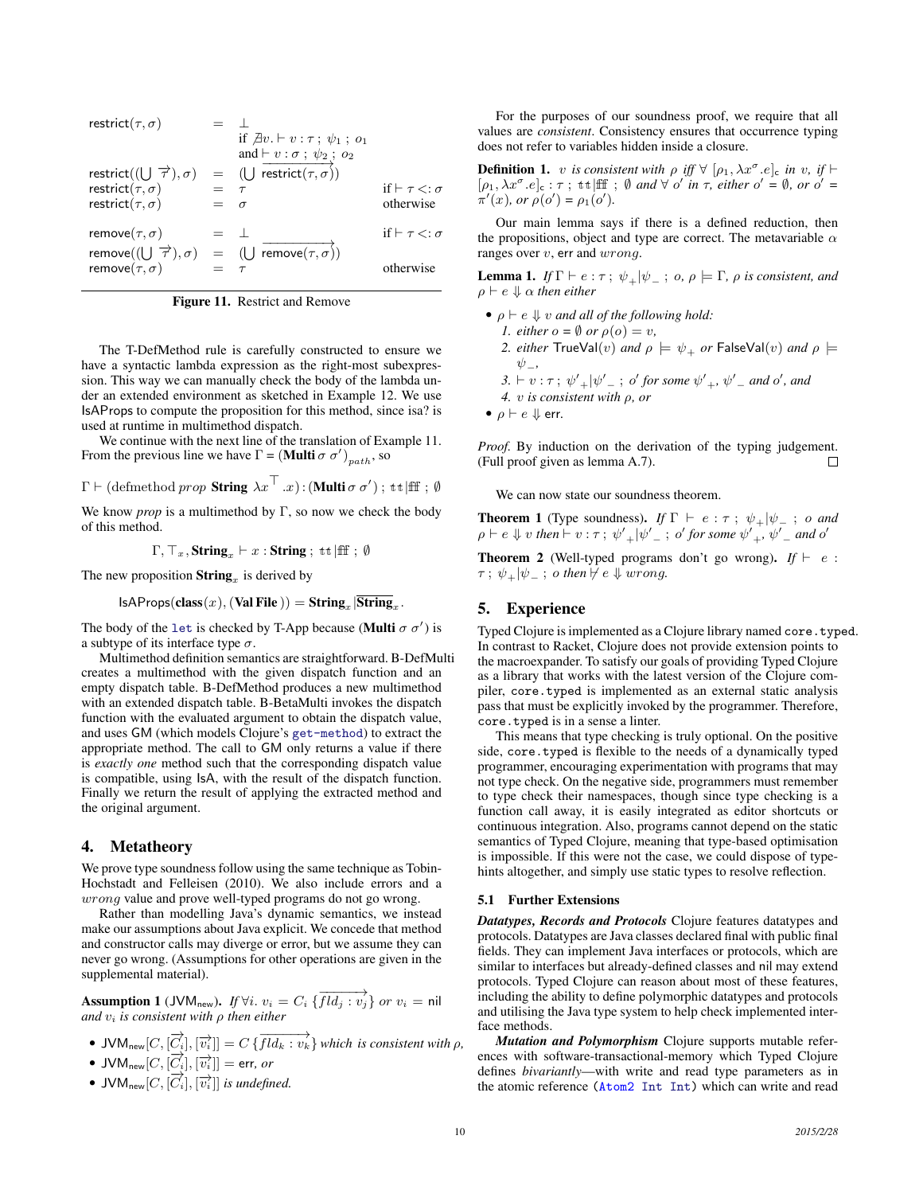$$
\begin{array}{rcll} \text{restrict}(\tau,\sigma) & = & \perp & \\ & \text{if } \not\exists v. \vdash v: \tau \, ; \, \psi_1 \, ; \, o_1 \\ & \text{and } \vdash v: \sigma \, ; \, \psi_2 \, ; \, o_2 \\ & \text{restrict}((\bigcup \overrightarrow{\tau}),\sigma) & = & (\bigcup \overrightarrow{\mathit{restrict}}(\tau,\sigma)) \\ & \text{restrict}(\tau,\sigma) & = & \tau & \text{if } \vdash \tau <: \sigma \\ & \text{restrict}(\tau,\sigma) & = & \sigma & \text{otherwise} \\ & \text{remove}(\tau,\sigma) & = & \perp & \\ & \text{remove}((\bigcup \overrightarrow{\tau}),\sigma) & = & (\bigcup \overrightarrow{\mathit{remove}}(\tau,\sigma)) \\ & \text{remove}(\tau,\sigma) & = & \tau & \text{otherwise} \end{array}
$$

Figure 11. Restrict and Remove

The T-DefMethod rule is carefully constructed to ensure we have a syntactic lambda expression as the right-most subexpression. This way we can manually check the body of the lambda under an extended environment as sketched in Example 12. We use IsAProps to compute the proposition for this method, since isa? is used at runtime in multimethod dispatch.

We continue with the next line of the translation of Example 11. From the previous line we have  $\Gamma = (\textbf{Multi} \sigma \sigma')_{path}$ , so

$$
\Gamma \vdash
$$
 (defined *prop* **String**  $\lambda x^{\top} . x$ ) : (**Multi**  $\sigma \sigma'$ );  $\pm \mathbb{1}$  ff;  $\emptyset$ 

We know *prop* is a multimethod by  $\Gamma$ , so now we check the body of this method.

$$
\Gamma, \top_x, \mathbf{String}_x \vdash x : \mathbf{String} ; \text{ ttliff } ; \emptyset
$$

The new proposition  $\textbf{String}_x$  is derived by

 $IsAProps(\textbf{class}(x), (\textbf{Val File})) = \textbf{String}_x |\textbf{String}_x.$ 

The body of the let is checked by T-App because (Multi  $\sigma \sigma'$ ) is a subtype of its interface type  $\sigma$ .

Multimethod definition semantics are straightforward. B-DefMulti creates a multimethod with the given dispatch function and an empty dispatch table. B-DefMethod produces a new multimethod with an extended dispatch table. B-BetaMulti invokes the dispatch function with the evaluated argument to obtain the dispatch value, and uses GM (which models Clojure's get-method) to extract the appropriate method. The call to GM only returns a value if there is *exactly one* method such that the corresponding dispatch value is compatible, using IsA, with the result of the dispatch function. Finally we return the result of applying the extracted method and the original argument.

# 4. Metatheory

We prove type soundness follow using the same technique as Tobin-Hochstadt and Felleisen (2010). We also include errors and a wrong value and prove well-typed programs do not go wrong.

Rather than modelling Java's dynamic semantics, we instead make our assumptions about Java explicit. We concede that method and constructor calls may diverge or error, but we assume they can never go wrong. (Assumptions for other operations are given in the supplemental material).

Assumption 1 (JVM<sub>new</sub>). *If*  $\forall i. v_i = C_i \overrightarrow{\int Id_j : v_j}$  or  $v_i = \text{nil}$ *and*  $v_i$  *is consistent with*  $\rho$  *then either* 

\n- JVM<sub>new</sub>[*C*, [
$$
\overrightarrow{C_i}
$$
], [ $\overrightarrow{v_i}$ ]] = *C* {  $\overrightarrow{Hd_k : v_k}$ } which is consistent with  $\rho$ ,
\n- JVM<sub>new</sub>[*C*, [ $\overrightarrow{C_i}$ ], [ $\overrightarrow{v_i}$ ]] = err, or
\n

- 
- JVM<sub>new</sub> $[C, [\overrightarrow{C_i}], [\overrightarrow{v_i}]]$  *is undefined.*

For the purposes of our soundness proof, we require that all values are *consistent*. Consistency ensures that occurrence typing does not refer to variables hidden inside a closure.

**Definition 1.** v is consistent with  $\rho$  iff  $\forall$   $[\rho_1, \lambda x^{\sigma}.e]_c$  in v, if  $\vdash$  $[\rho_1, \lambda x^{\sigma}.e]_c : \tau$ ; tt |ff ;  $\emptyset$  *and*  $\forall o'$  *in*  $\tau$ , *either*  $o' = \emptyset$ , *or*  $o' =$  $\pi'(x)$ *, or*  $\rho(o') = \rho_1(o')$ *.* 

Our main lemma says if there is a defined reduction, then the propositions, object and type are correct. The metavariable  $\alpha$ ranges over  $v$ , err and  $wrong$ .

**Lemma 1.** *If*  $\Gamma \vdash e : \tau$ ;  $\psi_{\perp} | \psi_{\perp}$ ;  $o, \rho \models \Gamma$ ,  $\rho$  *is consistent, and*  $\rho \vdash e \Downarrow \alpha$  *then either* 

- $\rho \vdash e \Downarrow v$  *and all of the following hold: 1. either*  $o = \emptyset$  *or*  $\rho(o) = v$ *, 2. either* TrueVal(v) *and*  $\rho \models \psi_+$  *or* FalseVal(v) *and*  $\rho \models$ ψ−*,*  $3. \vdash v : \tau ; \psi'_{+}|\psi'_{-} ; o'$  for some  $\psi'_{+}, \psi'_{-}$  and o', and *4.* v *is consistent with* ρ*, or*
- $\rho \vdash e \Downarrow$  err.

*Proof.* By induction on the derivation of the typing judgement. (Full proof given as lemma A.7).

We can now state our soundness theorem.

**Theorem 1** (Type soundness). *If*  $\Gamma \vdash e : \tau ; \psi_+|\psi_- ; o$  *and*  $\rho \vdash e \Downarrow v$  then  $\vdash v : \tau$ ;  $\psi_+'\vert \psi_-'$ ; o' for some  $\psi_+'$ ,  $\psi_-'$  and o'

**Theorem 2** (Well-typed programs don't go wrong). *If*  $\vdash e$  :  $\tau$ ;  $\psi_+|\psi_-$ ; o then  $\not\vdash e \Downarrow wrong$ .

# 5. Experience

Typed Clojure is implemented as a Clojure library named core.typed. In contrast to Racket, Clojure does not provide extension points to the macroexpander. To satisfy our goals of providing Typed Clojure as a library that works with the latest version of the Clojure compiler, core.typed is implemented as an external static analysis pass that must be explicitly invoked by the programmer. Therefore, core.typed is in a sense a linter.

This means that type checking is truly optional. On the positive side, core.typed is flexible to the needs of a dynamically typed programmer, encouraging experimentation with programs that may not type check. On the negative side, programmers must remember to type check their namespaces, though since type checking is a function call away, it is easily integrated as editor shortcuts or continuous integration. Also, programs cannot depend on the static semantics of Typed Clojure, meaning that type-based optimisation is impossible. If this were not the case, we could dispose of typehints altogether, and simply use static types to resolve reflection.

## 5.1 Further Extensions

*Datatypes, Records and Protocols* Clojure features datatypes and protocols. Datatypes are Java classes declared final with public final fields. They can implement Java interfaces or protocols, which are similar to interfaces but already-defined classes and nil may extend protocols. Typed Clojure can reason about most of these features, including the ability to define polymorphic datatypes and protocols and utilising the Java type system to help check implemented interface methods.

*Mutation and Polymorphism* Clojure supports mutable references with software-transactional-memory which Typed Clojure defines *bivariantly*—with write and read type parameters as in the atomic reference (Atom2 Int Int) which can write and read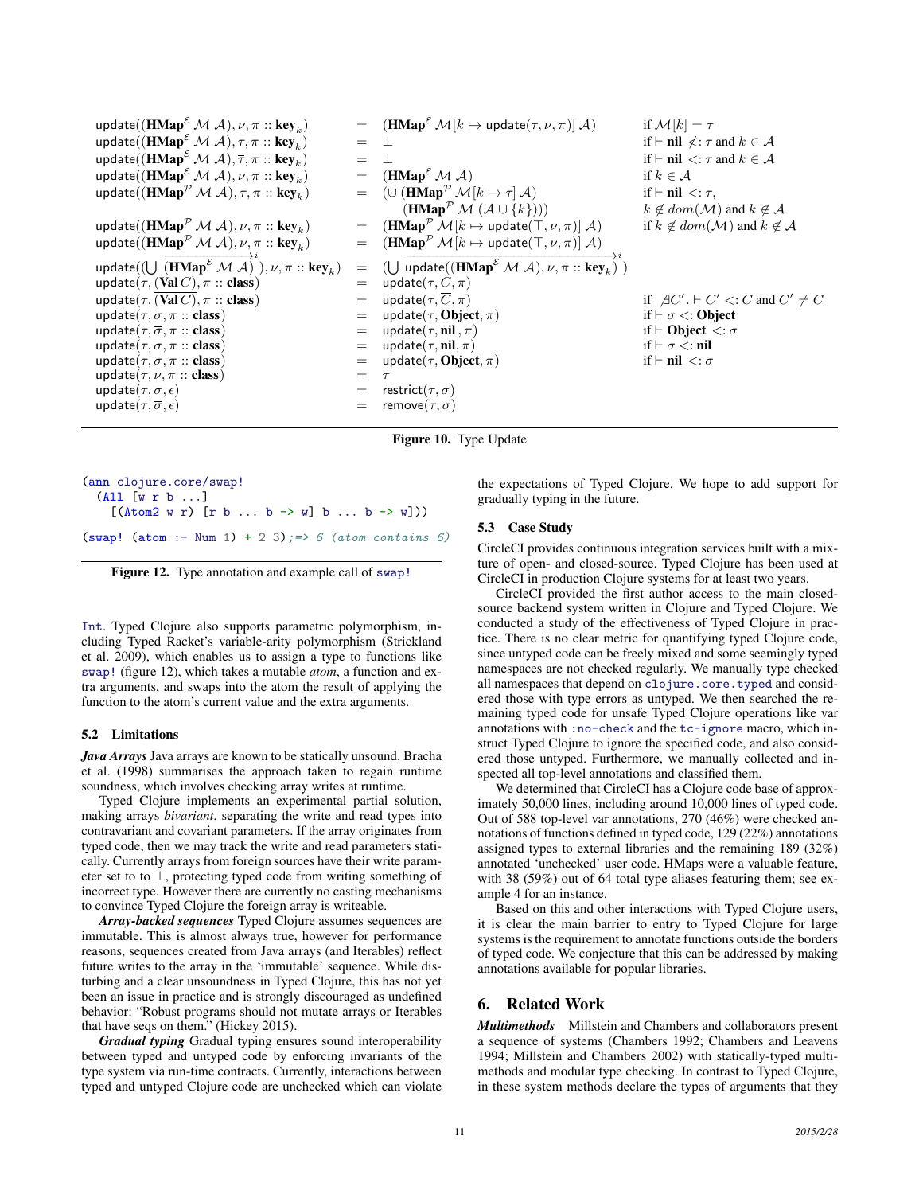update( $(\mathbf{HMap}^{\mathcal{E}} \mathcal{M} \mathcal{A}), \nu, \pi :: \mathbf{key}_k)$  $=$   $(HMap^{\mathcal{E}} \mathcal{M}[k \mapsto update(\tau, \nu, \pi)] \mathcal{A})$  if  $\mathcal{M}[k] = \tau$ update( $(\mathbf{HMap}^{\varepsilon} \mathcal{M} \mathcal{A}), \tau, \pi :: \mathbf{key}_k)$  $=$  ⊥ if  $\vdash$  nil  $\angle$ :  $\tau$  and  $k \in \mathcal{A}$ update( $(\mathbf{HMap}^{\varepsilon} \mathcal{M} \mathcal{A}), \overline{\tau}, \pi :: \mathbf{key}_k$ )  $= \perp$  if  $\vdash$  nil  $\lt: \tau$  and  $k \in \mathcal{A}$ update $((\mathbf{HMap}^\mathcal{E}_{-}\mathcal{M} \; \mathcal{A}), \nu, \pi :: \mathbf{key}_k$  $=$  (HMap<sup>E</sup> M A) if  $k \in \mathcal{A}$ update $((\mathbf{HMap}^{\mathcal{P}}\mathcal{M} \ \mathcal{A}), \tau, \pi \ :: \mathbf{key}_k$  $=$   $(\cup (\text{HMap}^{\mathcal{P}} \mathcal{M}[k \mapsto \tau] \mathcal{A})$  if  $\vdash \textbf{nil} < : \tau$ ,  $(\mathbf{HMap}^{\mathcal{P}} \mathcal{M} (\mathcal{A} \cup \{k\})))$   $k \notin dom(\mathcal{M})$  and  $k \notin \mathcal{A}$ update( $(H\text{Map}^{\mathcal{P}}\mathcal{M}\mathcal{A}), \nu, \pi :: \text{key}_k$ )  $=$  (HMap<sup>P</sup> M[k  $\mapsto$  update( $\top, \nu, \pi$ )] A) if  $k \notin dom(\mathcal{M})$  and  $k \notin \mathcal{A}$ update( $(\mathbf{HMap}^{\mathcal{P}}\mathcal{M} \mathcal{A}), \nu, \pi :: \mathbf{key}_k$ ) =  $(\text{HMap}^{\mathcal{P}} \mathcal{M}[k \mapsto \text{update}(\top, \nu, \pi)] \mathcal{A})$ update $((\bigcup \overrightarrow{(\mathbf{HMap}^{\mathcal{E}} \mathcal{M} \mathcal{A})}^i), \nu, \pi :: \mathbf{key}_k)$  $) = ( \bigcup \frac{1}{\text{update}((\text{HMap}^{\mathcal{E}} \mathcal{M} \mathcal{A}), \nu, \pi :: \text{key}_k)^i )$ update $(\tau, (\text{Val } C), \pi :: \text{class})$  = update $(\tau, C, \pi)$ update( $\tau$ ,  $\overline{(Val\ C)}$ ,  $\pi$  :: class) = update( $\tau$ ,  $\overline{C}$ ,  $\pi$ ) if  $\overline{AC}'$ .  $\vdash C'$  <: update( $\tau$ ,  $\sigma$ ,  $\pi$  :: class) = update( $\tau$ , Object,  $\pi$ ) if  $\vdash \sigma$  <: Object  $C' + C' \lt C$  and  $C' \neq C$ = update( $\tau$ , Object,  $\pi$ ) if  $\vdash \sigma <:$  Object<br>= update( $\tau$ , nil,  $\pi$ ) if  $\vdash$  Object  $\lt : \sigma$ update( $\tau, \overline{\sigma}, \pi$  :: class) = update( $\tau$ , nil,  $\pi$ ) update( $\tau$ ,  $\sigma$ ,  $\pi$  :: class) = update( $\tau$ ,  $\overline{n}$ ) = update( $\tau$ ,  $\overline{n}$ ) if  $\vdash \sigma$  <: nil update( $\tau$ ,  $\overline{\sigma}$ ,  $\pi$  :: class) = update( $\tau$ , Object,  $\pi$ ) if  $\vdash$  nil <:  $\sigma$ update( $\tau$ ,  $\overline{\sigma}$ ,  $\pi$  :: class) = update( $\tau$ , Object,  $\pi$ ) update( $\tau$ ,  $\nu$ ,  $\pi$  :: class) =  $\tau$ update $(\tau, \sigma, \epsilon)$  = restrict $(\tau, \sigma)$ update $(\tau, \overline{\sigma}, \epsilon)$  = remove $(\tau, \sigma)$ 

Figure 10. Type Update

(ann clojure.core/swap! (All [w r b ...]  $[(\text{Atom2 w r}) [\text{r b ... b -> w}] \text{b ... b -> w}])$ (swap! (atom :- Num 1) + 2 3); => 6 (atom contains 6)

Figure 12. Type annotation and example call of swap!

Int. Typed Clojure also supports parametric polymorphism, including Typed Racket's variable-arity polymorphism (Strickland et al. 2009), which enables us to assign a type to functions like swap! (figure 12), which takes a mutable *atom*, a function and extra arguments, and swaps into the atom the result of applying the function to the atom's current value and the extra arguments.

#### 5.2 Limitations

*Java Arrays* Java arrays are known to be statically unsound. Bracha et al. (1998) summarises the approach taken to regain runtime soundness, which involves checking array writes at runtime.

Typed Clojure implements an experimental partial solution, making arrays *bivariant*, separating the write and read types into contravariant and covariant parameters. If the array originates from typed code, then we may track the write and read parameters statically. Currently arrays from foreign sources have their write parameter set to to ⊥, protecting typed code from writing something of incorrect type. However there are currently no casting mechanisms to convince Typed Clojure the foreign array is writeable.

*Array-backed sequences* Typed Clojure assumes sequences are immutable. This is almost always true, however for performance reasons, sequences created from Java arrays (and Iterables) reflect future writes to the array in the 'immutable' sequence. While disturbing and a clear unsoundness in Typed Clojure, this has not yet been an issue in practice and is strongly discouraged as undefined behavior: "Robust programs should not mutate arrays or Iterables that have seqs on them." (Hickey 2015).

*Gradual typing* Gradual typing ensures sound interoperability between typed and untyped code by enforcing invariants of the type system via run-time contracts. Currently, interactions between typed and untyped Clojure code are unchecked which can violate the expectations of Typed Clojure. We hope to add support for gradually typing in the future.

#### 5.3 Case Study

CircleCI provides continuous integration services built with a mixture of open- and closed-source. Typed Clojure has been used at CircleCI in production Clojure systems for at least two years.

CircleCI provided the first author access to the main closedsource backend system written in Clojure and Typed Clojure. We conducted a study of the effectiveness of Typed Clojure in practice. There is no clear metric for quantifying typed Clojure code, since untyped code can be freely mixed and some seemingly typed namespaces are not checked regularly. We manually type checked all namespaces that depend on clojure.core.typed and considered those with type errors as untyped. We then searched the remaining typed code for unsafe Typed Clojure operations like var annotations with :no-check and the tc-ignore macro, which instruct Typed Clojure to ignore the specified code, and also considered those untyped. Furthermore, we manually collected and inspected all top-level annotations and classified them.

We determined that CircleCI has a Clojure code base of approximately 50,000 lines, including around 10,000 lines of typed code. Out of 588 top-level var annotations, 270 (46%) were checked annotations of functions defined in typed code, 129 (22%) annotations assigned types to external libraries and the remaining 189 (32%) annotated 'unchecked' user code. HMaps were a valuable feature, with 38 (59%) out of 64 total type aliases featuring them; see example 4 for an instance.

Based on this and other interactions with Typed Clojure users, it is clear the main barrier to entry to Typed Clojure for large systems is the requirement to annotate functions outside the borders of typed code. We conjecture that this can be addressed by making annotations available for popular libraries.

# 6. Related Work

*Multimethods* Millstein and Chambers and collaborators present a sequence of systems (Chambers 1992; Chambers and Leavens 1994; Millstein and Chambers 2002) with statically-typed multimethods and modular type checking. In contrast to Typed Clojure, in these system methods declare the types of arguments that they